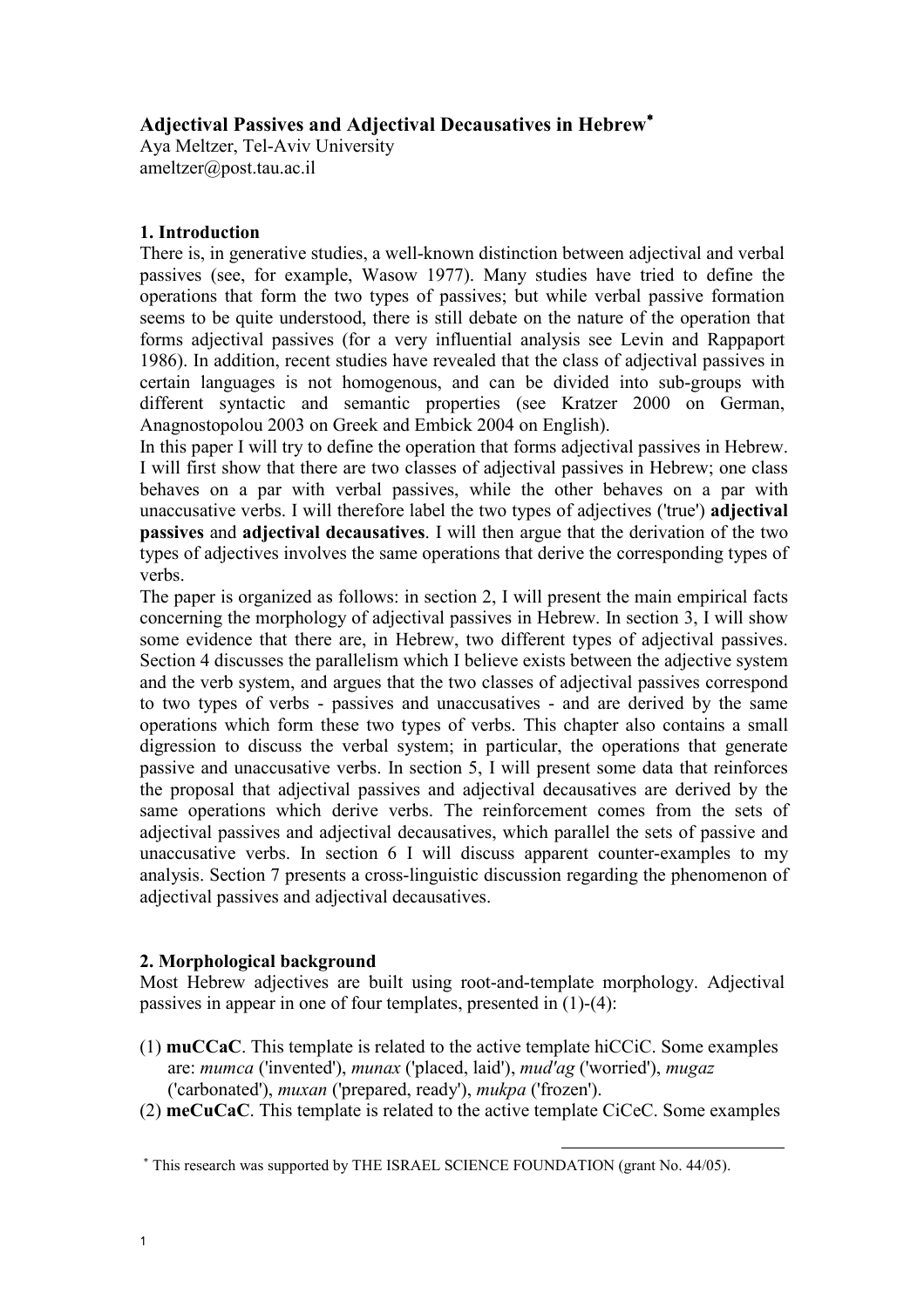## Adjectival Passives and Adjectival Decausatives in Hebrew<sup>∗</sup>

Aya Meltzer, Tel-Aviv University ameltzer@post.tau.ac.il

## 1. Introduction

There is, in generative studies, a well-known distinction between adjectival and verbal passives (see, for example, Wasow 1977). Many studies have tried to define the operations that form the two types of passives; but while verbal passive formation seems to be quite understood, there is still debate on the nature of the operation that forms adjectival passives (for a very influential analysis see Levin and Rappaport 1986). In addition, recent studies have revealed that the class of adjectival passives in certain languages is not homogenous, and can be divided into sub-groups with different syntactic and semantic properties (see Kratzer 2000 on German, Anagnostopolou 2003 on Greek and Embick 2004 on English).

In this paper I will try to define the operation that forms adjectival passives in Hebrew. I will first show that there are two classes of adjectival passives in Hebrew; one class behaves on a par with verbal passives, while the other behaves on a par with unaccusative verbs. I will therefore label the two types of adjectives ('true') adjectival passives and adjectival decausatives. I will then argue that the derivation of the two types of adjectives involves the same operations that derive the corresponding types of verbs.

The paper is organized as follows: in section 2, I will present the main empirical facts concerning the morphology of adjectival passives in Hebrew. In section 3, I will show some evidence that there are, in Hebrew, two different types of adjectival passives. Section 4 discusses the parallelism which I believe exists between the adjective system and the verb system, and argues that the two classes of adjectival passives correspond to two types of verbs - passives and unaccusatives - and are derived by the same operations which form these two types of verbs. This chapter also contains a small digression to discuss the verbal system; in particular, the operations that generate passive and unaccusative verbs. In section 5, I will present some data that reinforces the proposal that adjectival passives and adjectival decausatives are derived by the same operations which derive verbs. The reinforcement comes from the sets of adjectival passives and adjectival decausatives, which parallel the sets of passive and unaccusative verbs. In section 6 I will discuss apparent counter-examples to my analysis. Section 7 presents a cross-linguistic discussion regarding the phenomenon of adjectival passives and adjectival decausatives.

## 2. Morphological background

Most Hebrew adjectives are built using root-and-template morphology. Adjectival passives in appear in one of four templates, presented in (1)-(4):

- (1) muCCaC. This template is related to the active template hiCCiC. Some examples are: mumca ('invented'), munax ('placed, laid'), mud'ag ('worried'), mugaz ('carbonated'), muxan ('prepared, ready'), mukpa ('frozen').
- (2) meCuCaC. This template is related to the active template CiCeC. Some examples

l

<sup>∗</sup> This research was supported by THE ISRAEL SCIENCE FOUNDATION (grant No. 44/05).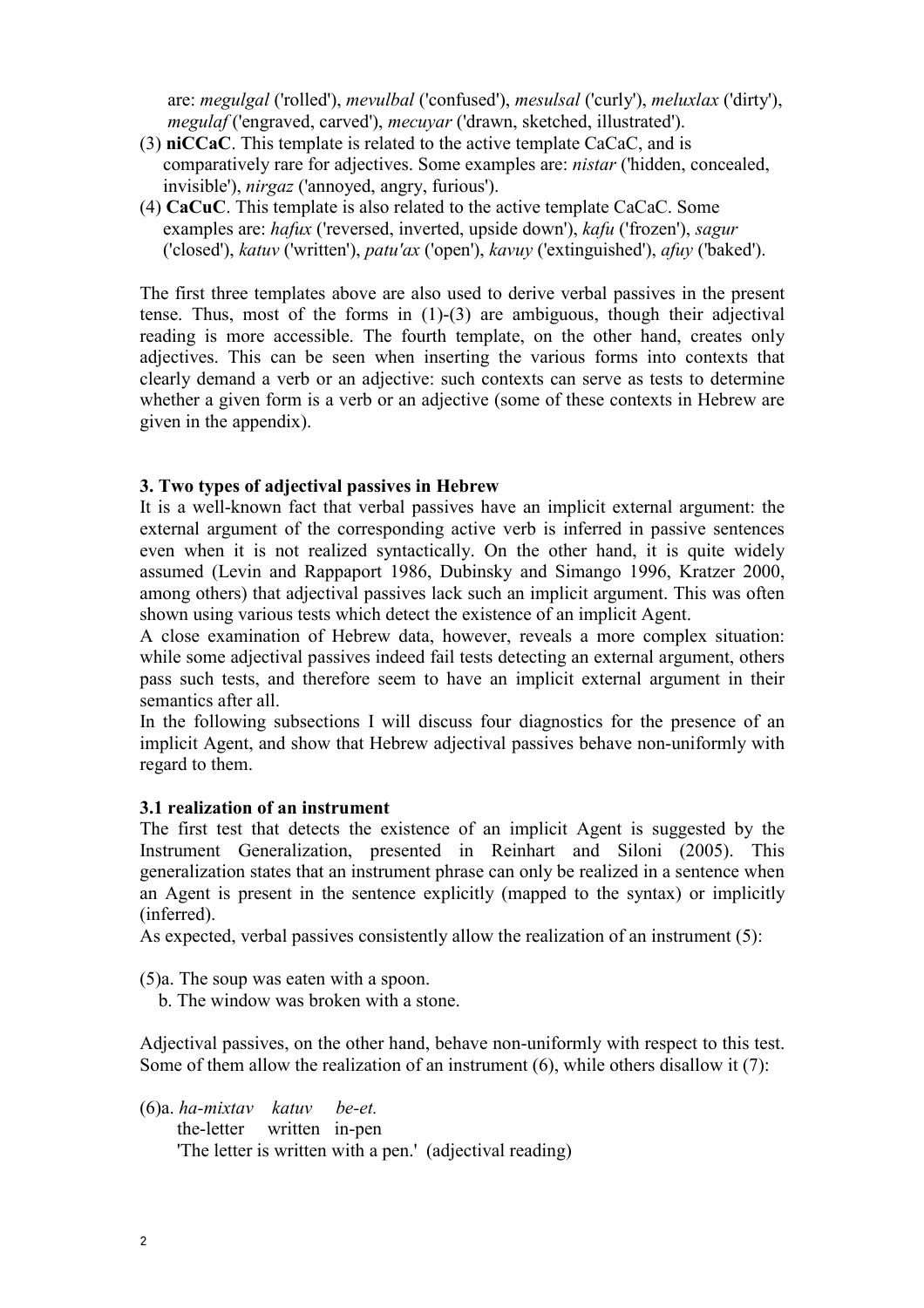are: megulgal ('rolled'), mevulbal ('confused'), mesulsal ('curly'), meluxlax ('dirty'), megulaf ('engraved, carved'), mecuyar ('drawn, sketched, illustrated').

- (3) niCCaC. This template is related to the active template CaCaC, and is comparatively rare for adjectives. Some examples are: nistar ('hidden, concealed, invisible'), nirgaz ('annoyed, angry, furious').
- (4) CaCuC. This template is also related to the active template CaCaC. Some examples are: hafux ('reversed, inverted, upside down'), kafu ('frozen'), sagur ('closed'), katuv ('written'), patu'ax ('open'), kavuy ('extinguished'), afuy ('baked').

The first three templates above are also used to derive verbal passives in the present tense. Thus, most of the forms in  $(1)-(3)$  are ambiguous, though their adjectival reading is more accessible. The fourth template, on the other hand, creates only adjectives. This can be seen when inserting the various forms into contexts that clearly demand a verb or an adjective: such contexts can serve as tests to determine whether a given form is a verb or an adjective (some of these contexts in Hebrew are given in the appendix).

### 3. Two types of adjectival passives in Hebrew

It is a well-known fact that verbal passives have an implicit external argument: the external argument of the corresponding active verb is inferred in passive sentences even when it is not realized syntactically. On the other hand, it is quite widely assumed (Levin and Rappaport 1986, Dubinsky and Simango 1996, Kratzer 2000, among others) that adjectival passives lack such an implicit argument. This was often shown using various tests which detect the existence of an implicit Agent.

A close examination of Hebrew data, however, reveals a more complex situation: while some adjectival passives indeed fail tests detecting an external argument, others pass such tests, and therefore seem to have an implicit external argument in their semantics after all.

In the following subsections I will discuss four diagnostics for the presence of an implicit Agent, and show that Hebrew adjectival passives behave non-uniformly with regard to them.

### 3.1 realization of an instrument

The first test that detects the existence of an implicit Agent is suggested by the Instrument Generalization, presented in Reinhart and Siloni (2005). This generalization states that an instrument phrase can only be realized in a sentence when an Agent is present in the sentence explicitly (mapped to the syntax) or implicitly (inferred).

As expected, verbal passives consistently allow the realization of an instrument (5):

(5)a. The soup was eaten with a spoon.

b. The window was broken with a stone.

Adjectival passives, on the other hand, behave non-uniformly with respect to this test. Some of them allow the realization of an instrument (6), while others disallow it (7):

(6)a. ha-mixtav katuv be-et. the-letter written in-pen 'The letter is written with a pen.' (adjectival reading)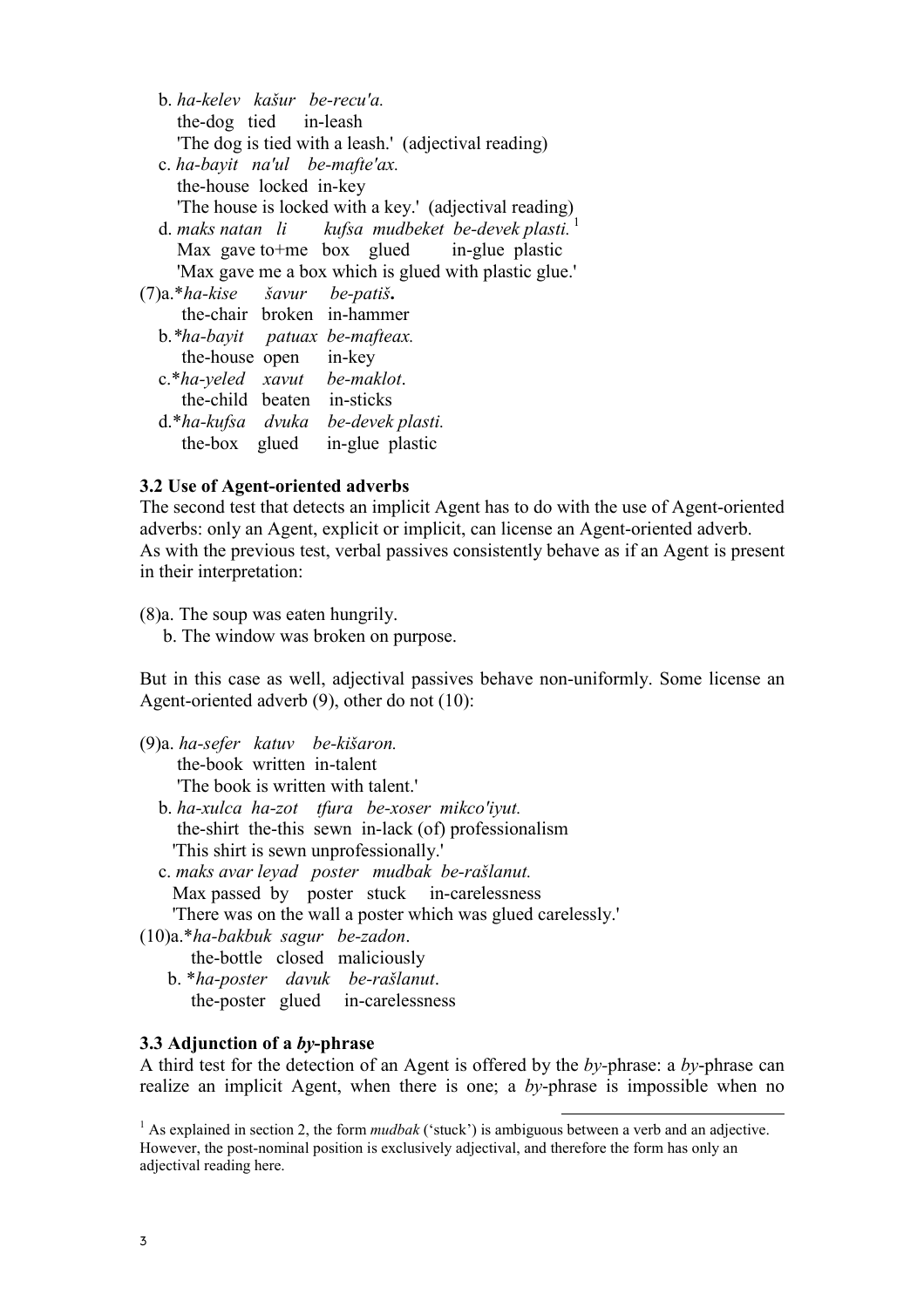| b <i>ha-kelev kašur be-recu'a</i> .                             |
|-----------------------------------------------------------------|
| the-dog tied in-leash                                           |
| 'The dog is tied with a leash.' (adjectival reading)            |
| c. ha-bayit na'ul be-mafte'ax.                                  |
| the-house locked in-key                                         |
| 'The house is locked with a key.' (adjectival reading)          |
| d. maks natan $li$ kufsa mudbeket be-devek plasti. <sup>1</sup> |
| Max gave to the box glued in-glue plastic                       |
| "Max gave me a box which is glued with plastic glue."           |
| (7)a.*ha-kise šavur be-patiš.                                   |
| the-chair broken in-hammer                                      |
| b.*ha-bayit patuax be-mafteax.                                  |
| the-house open in-key                                           |
| $c.*$ ha-yeled xavut be-maklot.                                 |
| the-child beaten in-sticks                                      |
| d.*ha-kufsa dvuka be-devek plasti.                              |
| the-box glued<br>in-glue plastic                                |
|                                                                 |

#### 3.2 Use of Agent-oriented adverbs

The second test that detects an implicit Agent has to do with the use of Agent-oriented adverbs: only an Agent, explicit or implicit, can license an Agent-oriented adverb. As with the previous test, verbal passives consistently behave as if an Agent is present in their interpretation:

(8)a. The soup was eaten hungrily.

b. The window was broken on purpose.

But in this case as well, adjectival passives behave non-uniformly. Some license an Agent-oriented adverb (9), other do not (10):

- (9)a. ha-sefer katuv be-kišaron. the-book written in-talent 'The book is written with talent.'
	- b. ha-xulca ha-zot tfura be-xoser mikco'iyut. the-shirt the-this sewn in-lack (of) professionalism 'This shirt is sewn unprofessionally.'
	- c. maks avar leyad poster mudbak be-rašlanut. Max passed by poster stuck in-carelessness 'There was on the wall a poster which was glued carelessly.'
- (10)a.\*ha-bakbuk sagur be-zadon.
	- the-bottle closed maliciously
	- b. \*ha-poster davuk be-rašlanut. the-poster glued in-carelessness

#### 3.3 Adjunction of a by-phrase

A third test for the detection of an Agent is offered by the by-phrase: a by-phrase can realize an implicit Agent, when there is one; a by-phrase is impossible when no

l

<sup>&</sup>lt;sup>1</sup> As explained in section 2, the form *mudbak* ('stuck') is ambiguous between a verb and an adjective. However, the post-nominal position is exclusively adjectival, and therefore the form has only an adjectival reading here.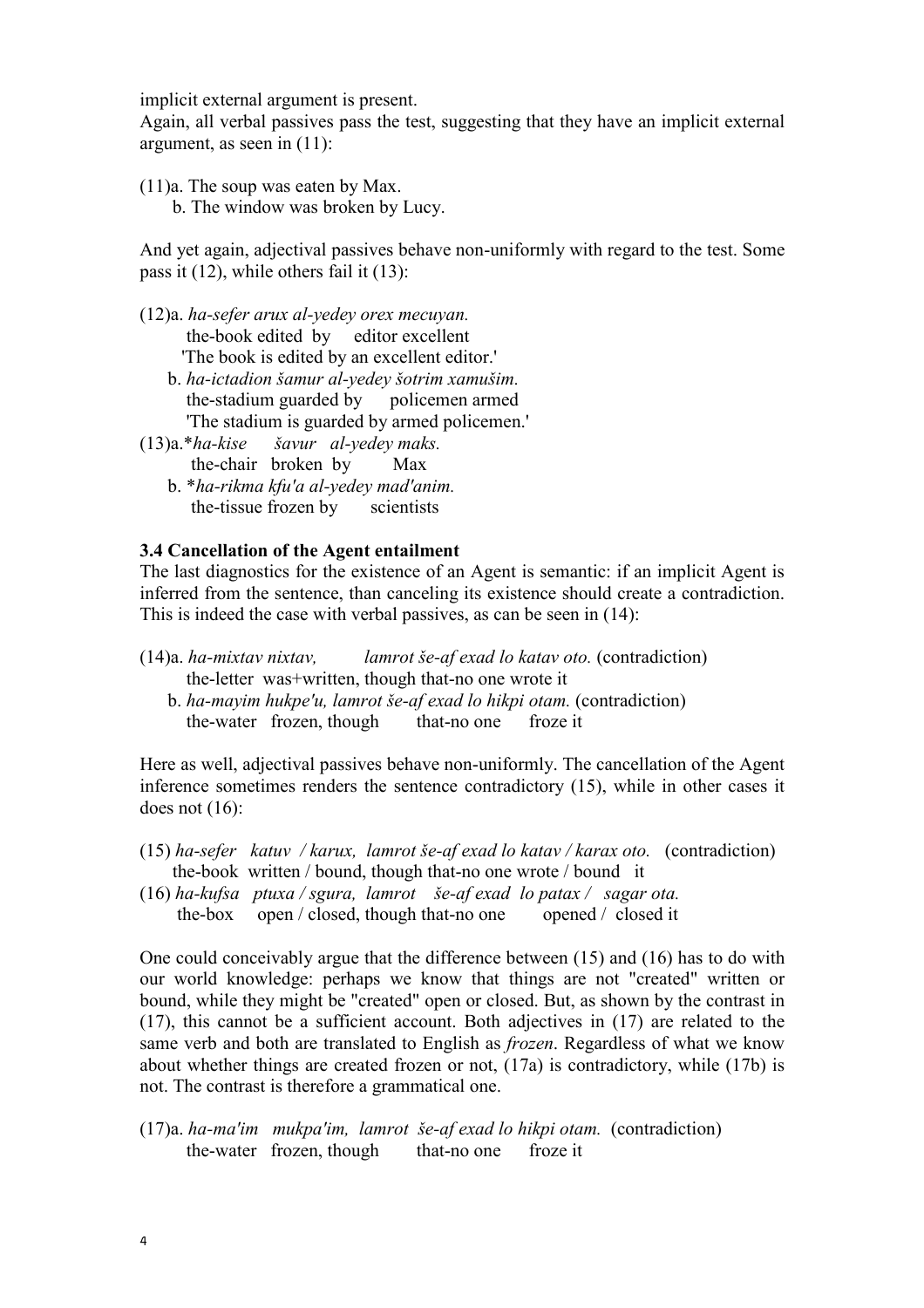implicit external argument is present.

Again, all verbal passives pass the test, suggesting that they have an implicit external argument, as seen in (11):

(11)a. The soup was eaten by Max. b. The window was broken by Lucy.

And yet again, adjectival passives behave non-uniformly with regard to the test. Some pass it (12), while others fail it (13):

- (12)a. ha-sefer arux al-yedey orex mecuyan. the-book edited by editor excellent 'The book is edited by an excellent editor.'
	- b. ha-ictadion šamur al-yedey šotrim xamušim. the-stadium guarded by policemen armed 'The stadium is guarded by armed policemen.'
- (13)a.\*ha-kise šavur al-yedey maks. the-chair broken by Max
	- b. \*ha-rikma kfu'a al-yedey mad'anim. the-tissue frozen by scientists

## 3.4 Cancellation of the Agent entailment

The last diagnostics for the existence of an Agent is semantic: if an implicit Agent is inferred from the sentence, than canceling its existence should create a contradiction. This is indeed the case with verbal passives, as can be seen in (14):

- (14)a. ha-mixtav nixtav, lamrot še-af exad lo katav oto. (contradiction) the-letter was+written, though that-no one wrote it
	- b. ha-mayim hukpe'u, lamrot še-af exad lo hikpi otam. (contradiction) the-water frozen, though that-no one froze it

Here as well, adjectival passives behave non-uniformly. The cancellation of the Agent inference sometimes renders the sentence contradictory (15), while in other cases it does not (16):

- (15) ha-sefer katuv / karux, lamrot še-af exad lo katav / karax oto. (contradiction) the-book written / bound, though that-no one wrote / bound it
- (16) ha-kufsa ptuxa / sgura, lamrot še-af exad lo patax / sagar ota. the-box open / closed, though that-no one opened / closed it

One could conceivably argue that the difference between (15) and (16) has to do with our world knowledge: perhaps we know that things are not "created" written or bound, while they might be "created" open or closed. But, as shown by the contrast in (17), this cannot be a sufficient account. Both adjectives in (17) are related to the same verb and both are translated to English as *frozen*. Regardless of what we know about whether things are created frozen or not, (17a) is contradictory, while (17b) is not. The contrast is therefore a grammatical one.

(17)a. ha-ma'im mukpa'im, lamrot še-af exad lo hikpi otam. (contradiction) the-water frozen, though that-no one froze it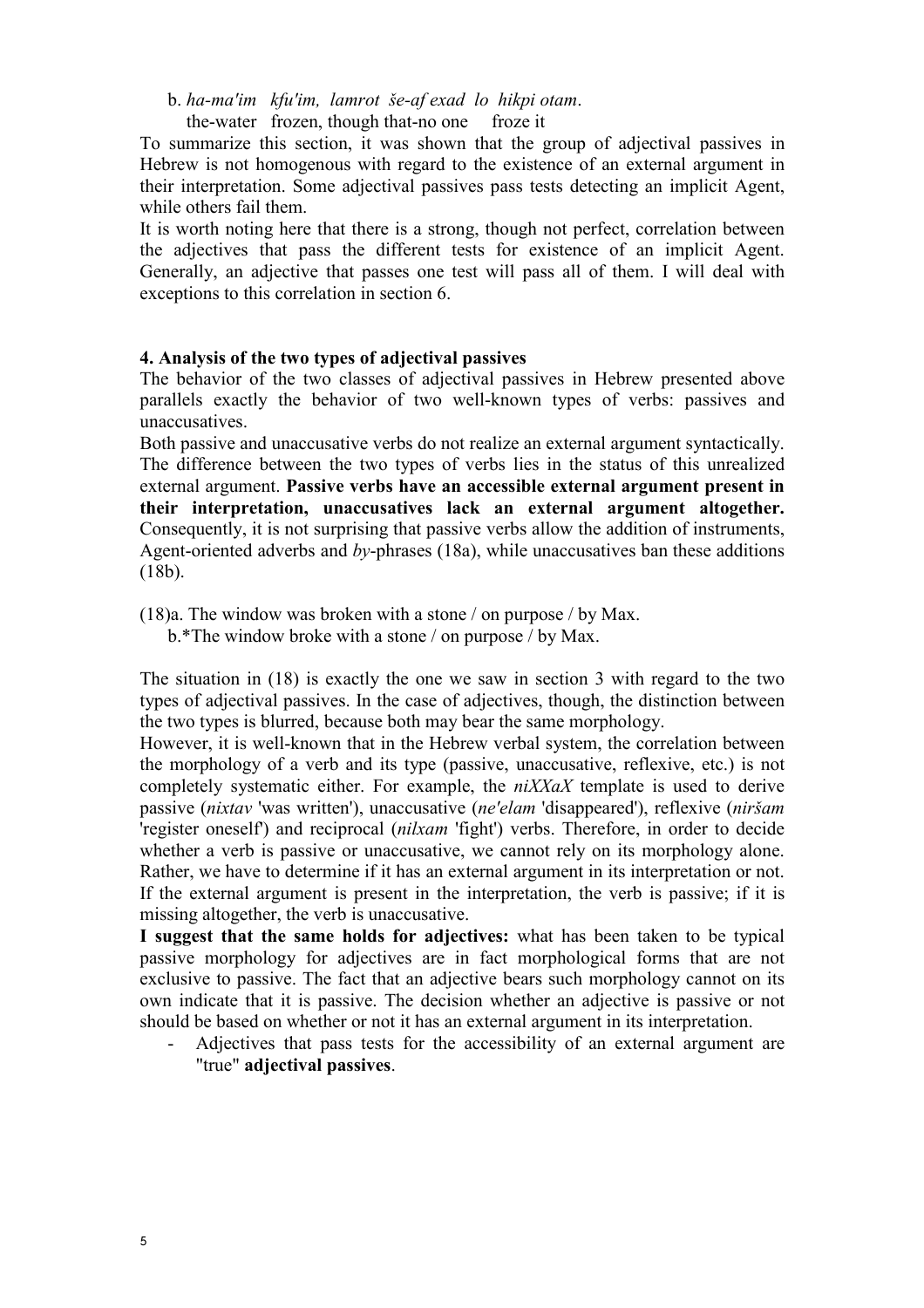b. ha-ma'im kfu'im, lamrot še-af exad lo hikpi otam.

the-water frozen, though that-no one froze it

To summarize this section, it was shown that the group of adjectival passives in Hebrew is not homogenous with regard to the existence of an external argument in their interpretation. Some adjectival passives pass tests detecting an implicit Agent, while others fail them.

It is worth noting here that there is a strong, though not perfect, correlation between the adjectives that pass the different tests for existence of an implicit Agent. Generally, an adjective that passes one test will pass all of them. I will deal with exceptions to this correlation in section 6.

#### 4. Analysis of the two types of adjectival passives

The behavior of the two classes of adjectival passives in Hebrew presented above parallels exactly the behavior of two well-known types of verbs: passives and unaccusatives.

Both passive and unaccusative verbs do not realize an external argument syntactically. The difference between the two types of verbs lies in the status of this unrealized external argument. Passive verbs have an accessible external argument present in their interpretation, unaccusatives lack an external argument altogether. Consequently, it is not surprising that passive verbs allow the addition of instruments, Agent-oriented adverbs and by-phrases (18a), while unaccusatives ban these additions (18b).

(18)a. The window was broken with a stone / on purpose / by Max.

b.\*The window broke with a stone / on purpose / by Max.

The situation in (18) is exactly the one we saw in section 3 with regard to the two types of adjectival passives. In the case of adjectives, though, the distinction between the two types is blurred, because both may bear the same morphology.

However, it is well-known that in the Hebrew verbal system, the correlation between the morphology of a verb and its type (passive, unaccusative, reflexive, etc.) is not completely systematic either. For example, the *niXXaX* template is used to derive passive (nixtav 'was written'), unaccusative (ne'elam 'disappeared'), reflexive (niršam 'register oneself') and reciprocal (nilxam 'fight') verbs. Therefore, in order to decide whether a verb is passive or unaccusative, we cannot rely on its morphology alone. Rather, we have to determine if it has an external argument in its interpretation or not. If the external argument is present in the interpretation, the verb is passive; if it is missing altogether, the verb is unaccusative.

I suggest that the same holds for adjectives: what has been taken to be typical passive morphology for adjectives are in fact morphological forms that are not exclusive to passive. The fact that an adjective bears such morphology cannot on its own indicate that it is passive. The decision whether an adjective is passive or not should be based on whether or not it has an external argument in its interpretation.

Adjectives that pass tests for the accessibility of an external argument are "true" adjectival passives.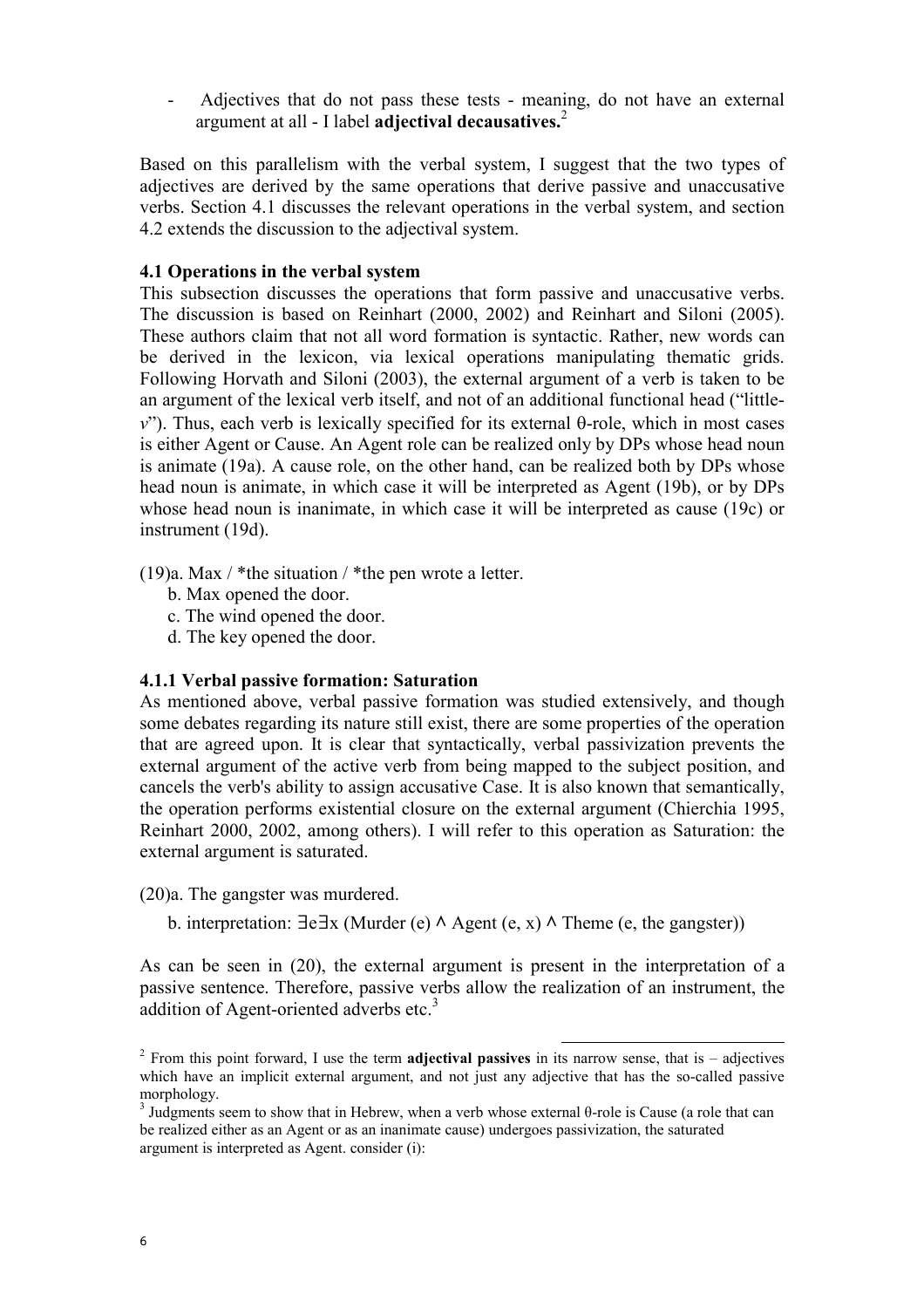- Adjectives that do not pass these tests - meaning, do not have an external argument at all  $-1$  label adjectival decausatives.<sup>2</sup>

Based on this parallelism with the verbal system, I suggest that the two types of adjectives are derived by the same operations that derive passive and unaccusative verbs. Section 4.1 discusses the relevant operations in the verbal system, and section 4.2 extends the discussion to the adjectival system.

### 4.1 Operations in the verbal system

This subsection discusses the operations that form passive and unaccusative verbs. The discussion is based on Reinhart (2000, 2002) and Reinhart and Siloni (2005). These authors claim that not all word formation is syntactic. Rather, new words can be derived in the lexicon, via lexical operations manipulating thematic grids. Following Horvath and Siloni (2003), the external argument of a verb is taken to be an argument of the lexical verb itself, and not of an additional functional head ("little $v$ "). Thus, each verb is lexically specified for its external θ-role, which in most cases is either Agent or Cause. An Agent role can be realized only by DPs whose head noun is animate (19a). A cause role, on the other hand, can be realized both by DPs whose head noun is animate, in which case it will be interpreted as Agent (19b), or by DPs whose head noun is inanimate, in which case it will be interpreted as cause (19c) or instrument (19d).

(19)a. Max  $/$  \*the situation  $/$  \*the pen wrote a letter.

- b. Max opened the door.
- c. The wind opened the door.
- d. The key opened the door.

### 4.1.1 Verbal passive formation: Saturation

As mentioned above, verbal passive formation was studied extensively, and though some debates regarding its nature still exist, there are some properties of the operation that are agreed upon. It is clear that syntactically, verbal passivization prevents the external argument of the active verb from being mapped to the subject position, and cancels the verb's ability to assign accusative Case. It is also known that semantically, the operation performs existential closure on the external argument (Chierchia 1995, Reinhart 2000, 2002, among others). I will refer to this operation as Saturation: the external argument is saturated.

(20)a. The gangster was murdered.

b. interpretation:  $\exists e \exists x$  (Murder (e)  $\land$  Agent (e, x)  $\land$  Theme (e, the gangster))

As can be seen in (20), the external argument is present in the interpretation of a passive sentence. Therefore, passive verbs allow the realization of an instrument, the addition of Agent-oriented adverbs etc.<sup>3</sup>

l

<sup>&</sup>lt;sup>2</sup> From this point forward, I use the term **adjectival passives** in its narrow sense, that is – adjectives which have an implicit external argument, and not just any adjective that has the so-called passive morphology.

<sup>&</sup>lt;sup>3</sup> Judgments seem to show that in Hebrew, when a verb whose external θ-role is Cause (a role that can be realized either as an Agent or as an inanimate cause) undergoes passivization, the saturated argument is interpreted as Agent. consider (i):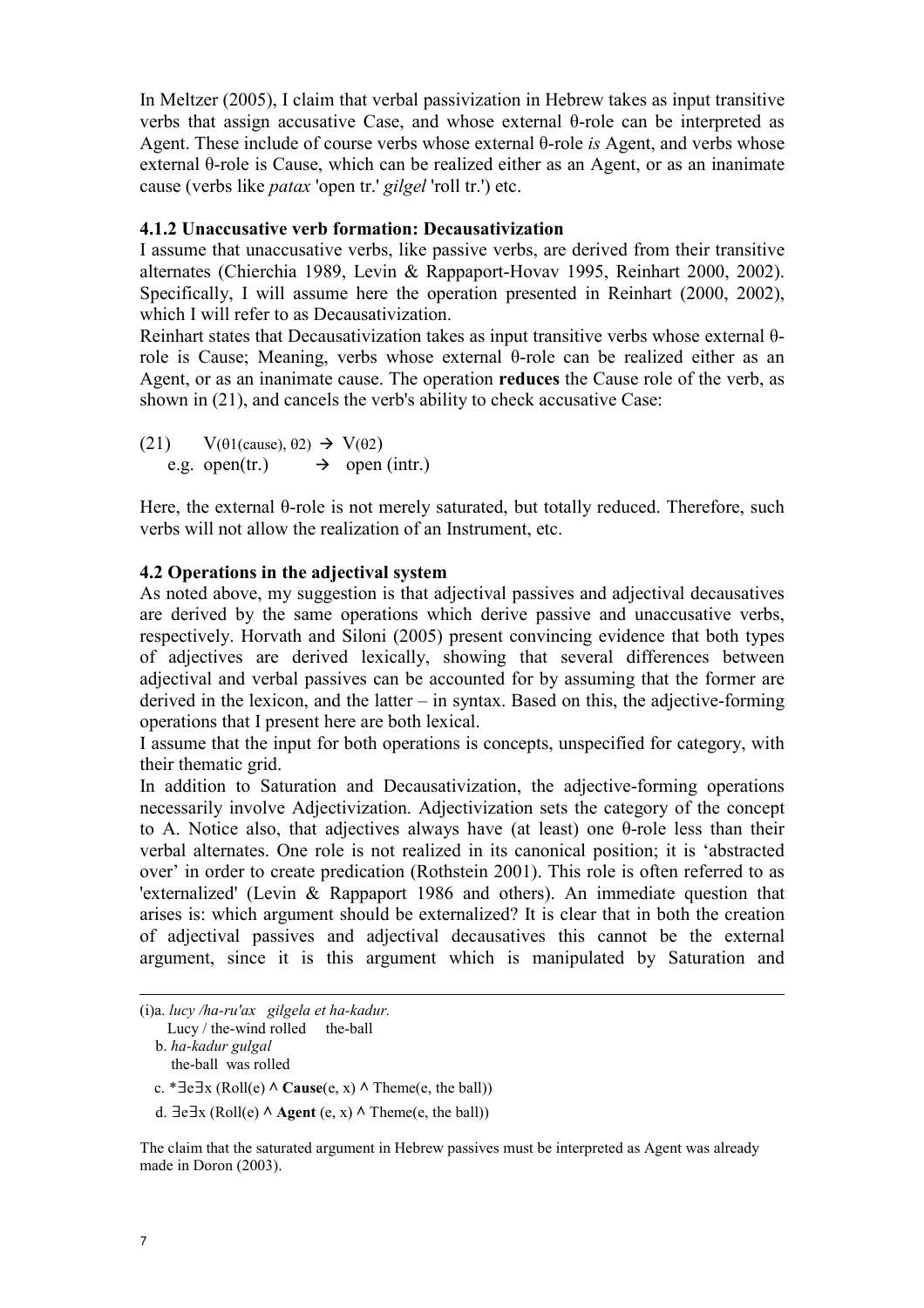In Meltzer (2005), I claim that verbal passivization in Hebrew takes as input transitive verbs that assign accusative Case, and whose external θ-role can be interpreted as Agent. These include of course verbs whose external θ-role is Agent, and verbs whose external θ-role is Cause, which can be realized either as an Agent, or as an inanimate cause (verbs like patax 'open tr.' gilgel 'roll tr.') etc.

## 4.1.2 Unaccusative verb formation: Decausativization

I assume that unaccusative verbs, like passive verbs, are derived from their transitive alternates (Chierchia 1989, Levin & Rappaport-Hovav 1995, Reinhart 2000, 2002). Specifically, I will assume here the operation presented in Reinhart (2000, 2002), which I will refer to as Decausativization.

Reinhart states that Decausativization takes as input transitive verbs whose external θrole is Cause; Meaning, verbs whose external θ-role can be realized either as an Agent, or as an inanimate cause. The operation reduces the Cause role of the verb, as shown in (21), and cancels the verb's ability to check accusative Case:

(21)  $V(\theta1(cause), \theta2) \rightarrow V(\theta2)$ e.g. open(tr.)  $\rightarrow$  open (intr.)

Here, the external θ-role is not merely saturated, but totally reduced. Therefore, such verbs will not allow the realization of an Instrument, etc.

## 4.2 Operations in the adjectival system

As noted above, my suggestion is that adjectival passives and adjectival decausatives are derived by the same operations which derive passive and unaccusative verbs, respectively. Horvath and Siloni (2005) present convincing evidence that both types of adjectives are derived lexically, showing that several differences between adjectival and verbal passives can be accounted for by assuming that the former are derived in the lexicon, and the latter – in syntax. Based on this, the adjective-forming operations that I present here are both lexical.

I assume that the input for both operations is concepts, unspecified for category, with their thematic grid.

In addition to Saturation and Decausativization, the adjective-forming operations necessarily involve Adjectivization. Adjectivization sets the category of the concept to A. Notice also, that adjectives always have (at least) one θ-role less than their verbal alternates. One role is not realized in its canonical position; it is 'abstracted over' in order to create predication (Rothstein 2001). This role is often referred to as 'externalized' (Levin & Rappaport 1986 and others). An immediate question that arises is: which argument should be externalized? It is clear that in both the creation of adjectival passives and adjectival decausatives this cannot be the external argument, since it is this argument which is manipulated by Saturation and

- l (i)a. lucy /ha-ru'ax gilgela et ha-kadur.
	- Lucy  $/$  the-wind rolled the-ball b. ha-kadur gulgal
		- the-ball was rolled
	- c. \*∃e∃x (Roll(e)  $\land$  Cause(e, x)  $\land$  Theme(e, the ball))
	- d.  $\exists e \exists x \ (Roll(e) \land \text{Agent}(e, x) \land \text{Theme}(e, the ball))$

The claim that the saturated argument in Hebrew passives must be interpreted as Agent was already made in Doron (2003).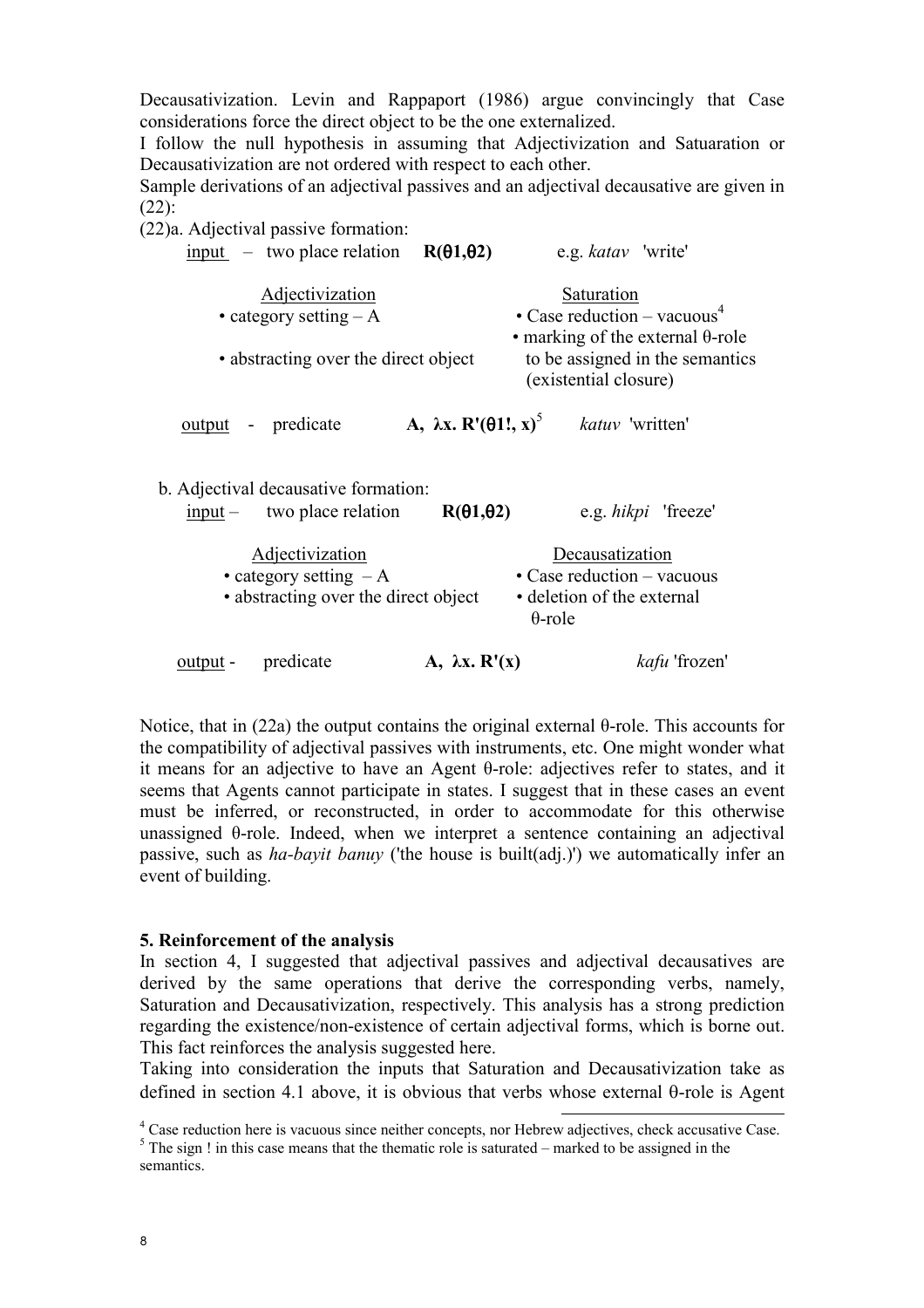Decausativization. Levin and Rappaport (1986) argue convincingly that Case considerations force the direct object to be the one externalized.

I follow the null hypothesis in assuming that Adjectivization and Satuaration or Decausativization are not ordered with respect to each other.

Sample derivations of an adjectival passives and an adjectival decausative are given in (22):

(22)a. Adjectival passive formation:

| $\frac{input}{}$ – two place relation R(01,02)<br>e.g. katav 'write'                                                                                                                                  |
|-------------------------------------------------------------------------------------------------------------------------------------------------------------------------------------------------------|
| Saturation<br>• Case reduction – vacuous <sup>4</sup><br>• marking of the external $\theta$ -role<br>to be assigned in the semantics<br>• abstracting over the direct object<br>(existential closure) |
| A, $\lambda x. R'(\theta 1!, x)^5$<br><i>katuv</i> 'written'                                                                                                                                          |
| $R(\theta1,\theta2)$<br>e.g. <i>hikpi</i> 'freeze'<br>Decausatization<br>$\cdot$ Case reduction – vacuous<br>• abstracting over the direct object<br>• deletion of the external                       |
| $\theta$ -role<br>A, $\lambda x$ . $R'(x)$<br><i>kafu</i> 'frozen'                                                                                                                                    |
|                                                                                                                                                                                                       |

Notice, that in (22a) the output contains the original external θ-role. This accounts for the compatibility of adjectival passives with instruments, etc. One might wonder what it means for an adjective to have an Agent θ-role: adjectives refer to states, and it seems that Agents cannot participate in states. I suggest that in these cases an event must be inferred, or reconstructed, in order to accommodate for this otherwise unassigned θ-role. Indeed, when we interpret a sentence containing an adjectival passive, such as ha-bayit banuy ('the house is built(adj.)') we automatically infer an event of building.

#### 5. Reinforcement of the analysis

In section 4, I suggested that adjectival passives and adjectival decausatives are derived by the same operations that derive the corresponding verbs, namely, Saturation and Decausativization, respectively. This analysis has a strong prediction regarding the existence/non-existence of certain adjectival forms, which is borne out. This fact reinforces the analysis suggested here.

Taking into consideration the inputs that Saturation and Decausativization take as defined in section 4.1 above, it is obvious that verbs whose external θ-role is Agent

<sup>&</sup>lt;sup>4</sup> Case reduction here is vacuous since neither concepts, nor Hebrew adjectives, check accusative Case.

 $<sup>5</sup>$  The sign ! in this case means that the thematic role is saturated – marked to be assigned in the</sup> semantics.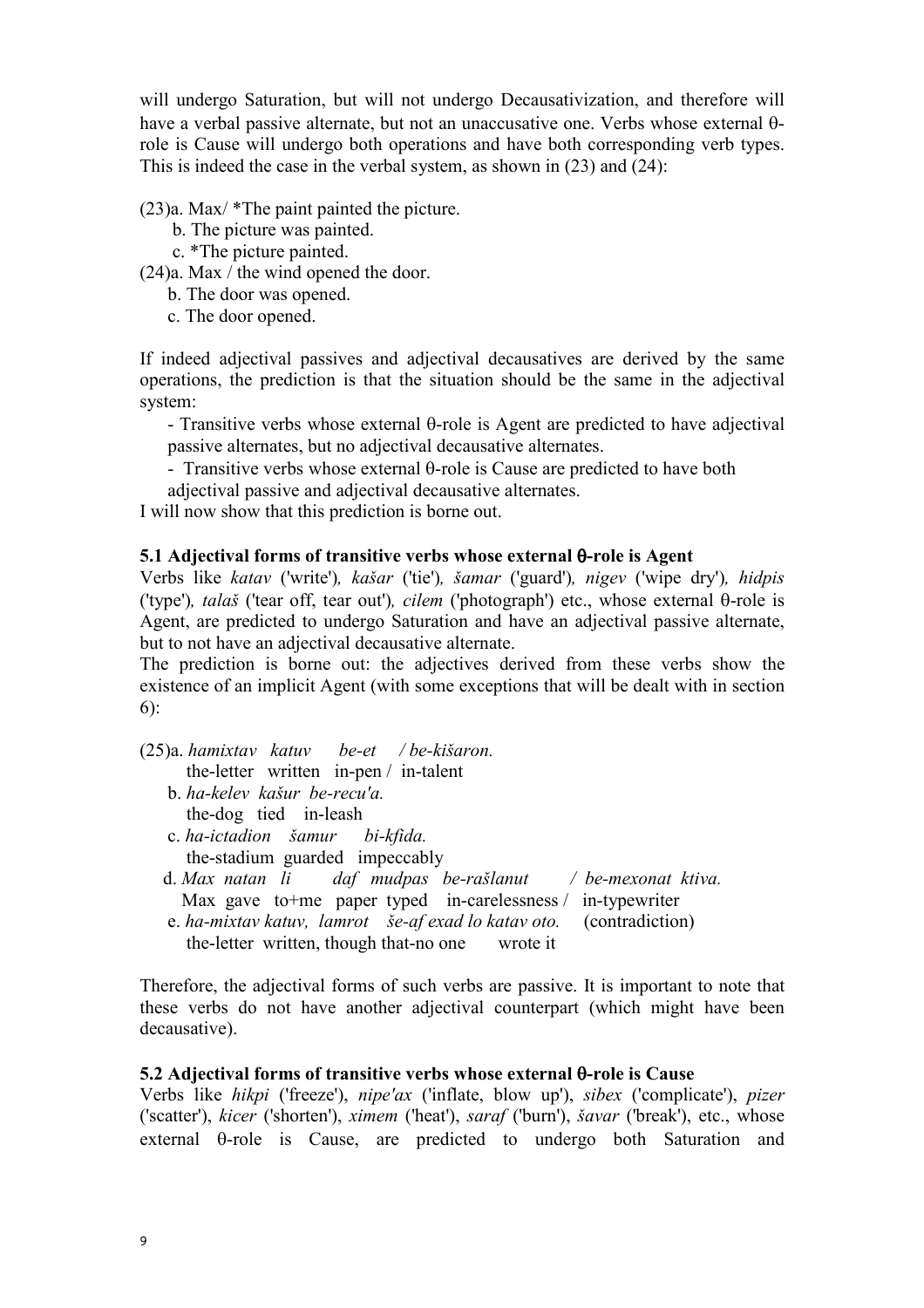will undergo Saturation, but will not undergo Decausativization, and therefore will have a verbal passive alternate, but not an unaccusative one. Verbs whose external θrole is Cause will undergo both operations and have both corresponding verb types. This is indeed the case in the verbal system, as shown in (23) and (24):

(23)a. Max/ \*The paint painted the picture.

- b. The picture was painted.
- c. \*The picture painted.

(24)a. Max / the wind opened the door.

- b. The door was opened.
- c. The door opened.

If indeed adjectival passives and adjectival decausatives are derived by the same operations, the prediction is that the situation should be the same in the adjectival system:

- Transitive verbs whose external θ-role is Agent are predicted to have adjectival passive alternates, but no adjectival decausative alternates.

- Transitive verbs whose external θ-role is Cause are predicted to have both

adjectival passive and adjectival decausative alternates.

I will now show that this prediction is borne out.

## 5.1 Adjectival forms of transitive verbs whose external θ-role is Agent

Verbs like katav ('write'), kašar ('tie'), šamar ('guard'), nigev ('wipe dry'), hidpis ('type'), talaš ('tear off, tear out'), cilem ('photograph') etc., whose external θ-role is Agent, are predicted to undergo Saturation and have an adjectival passive alternate, but to not have an adjectival decausative alternate.

The prediction is borne out: the adjectives derived from these verbs show the existence of an implicit Agent (with some exceptions that will be dealt with in section 6):

(25)a. hamixtav katuv be-et / be-kišaron.

- the-letter written in-pen / in-talent
- b. ha-kelev kašur be-recu'a. the-dog tied in-leash
- c. ha-ictadion šamur bi-kfida. the-stadium guarded impeccably
- d. Max natan li daf mudpas be-rašlanut / be-mexonat ktiva. Max gave to+me paper typed in-carelessness / in-typewriter e. ha-mixtav katuv, lamrot še-af exad lo katav oto. (contradiction)
- the-letter written, though that-no one wrote it

Therefore, the adjectival forms of such verbs are passive. It is important to note that these verbs do not have another adjectival counterpart (which might have been decausative).

#### 5.2 Adjectival forms of transitive verbs whose external θ-role is Cause

Verbs like hikpi ('freeze'), nipe'ax ('inflate, blow up'), sibex ('complicate'), pizer ('scatter'), kicer ('shorten'), ximem ('heat'), saraf ('burn'), šavar ('break'), etc., whose external θ-role is Cause, are predicted to undergo both Saturation and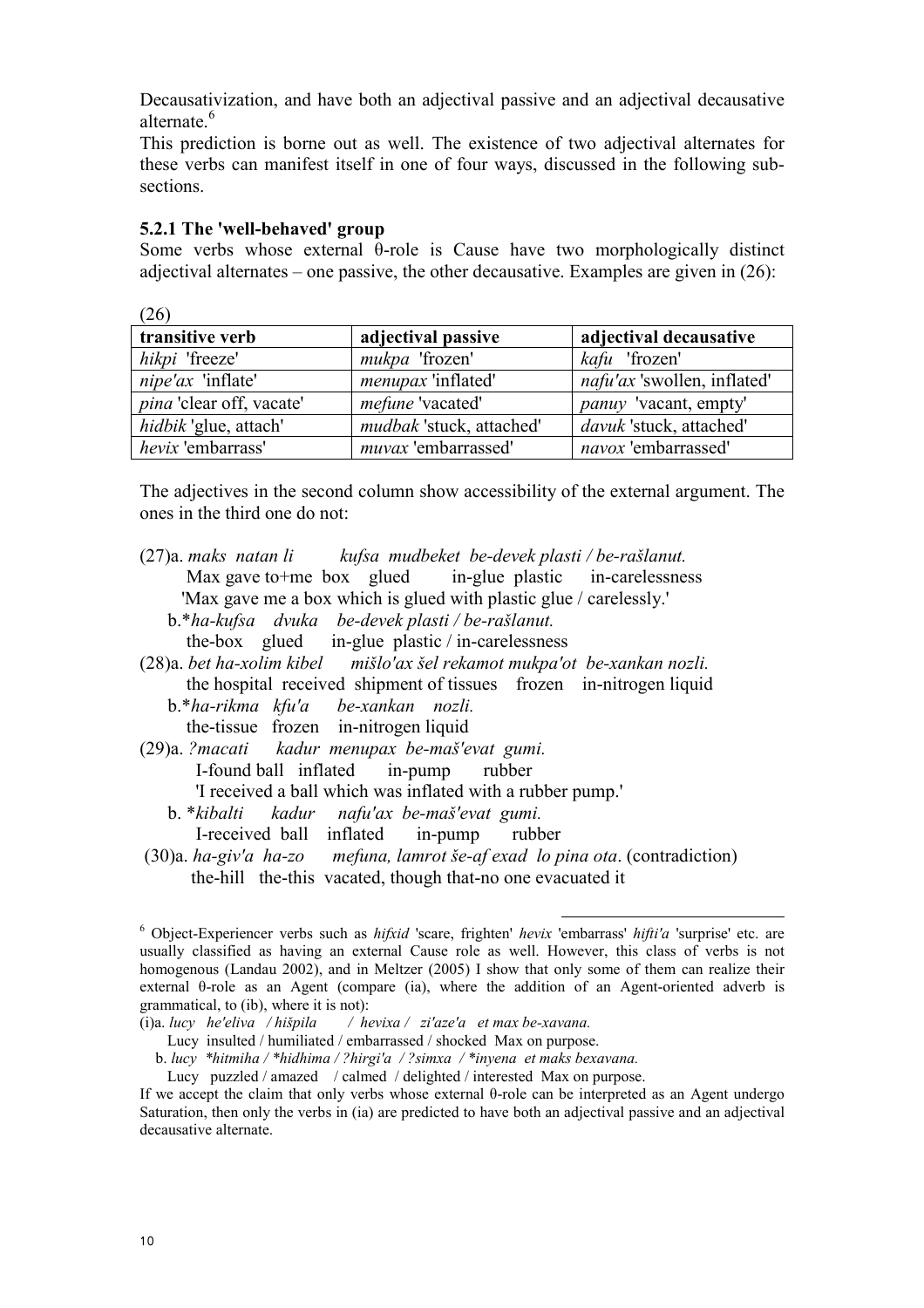Decausativization, and have both an adjectival passive and an adjectival decausative alternate.<sup>6</sup>

This prediction is borne out as well. The existence of two adjectival alternates for these verbs can manifest itself in one of four ways, discussed in the following subsections.

#### 5.2.1 The 'well-behaved' group

 $(26)$ 

Some verbs whose external θ-role is Cause have two morphologically distinct adjectival alternates – one passive, the other decausative. Examples are given in (26):

| l ∠O ∣                          |                          |                                    |
|---------------------------------|--------------------------|------------------------------------|
| transitive verb                 | adjectival passive       | adjectival decausative             |
| hikpi 'freeze'                  | mukpa 'frozen'           | kafu 'frozen'                      |
| nipe'ax 'inflate'               | menupax 'inflated'       | <i>nafu'ax</i> 'swollen, inflated' |
| <i>pina</i> 'clear off, vacate' | mefune 'vacated'         | <i>panuy</i> 'vacant, empty'       |
| hidbik 'glue, attach'           | mudbak 'stuck, attached' | davuk 'stuck, attached'            |
| hevix 'embarrass'               | muvax 'embarrassed'      | navox 'embarrassed'                |

The adjectives in the second column show accessibility of the external argument. The ones in the third one do not:

- (27)a. maks natan li kufsa mudbeket be-devek plasti / be-rašlanut. Max gave to +me box glued in-glue plastic in-carelessness 'Max gave me a box which is glued with plastic glue / carelessly.' b.\*ha-kufsa dvuka be-devek plasti / be-rašlanut. the-box glued in-glue plastic / in-carelessness
- (28)a. bet ha-xolim kibel mišlo'ax šel rekamot mukpa'ot be-xankan nozli. the hospital received shipment of tissues frozen in-nitrogen liquid b.\*ha-rikma kfu'a be-xankan nozli.
	- the-tissue frozen in-nitrogen liquid
- (29)a. ?macati kadur menupax be-maš'evat gumi. I-found ball inflated in-pump rubber 'I received a ball which was inflated with a rubber pump.'
	- b. \*kibalti kadur nafu'ax be-maš'evat gumi. I-received ball inflated in-pump rubber
- (30)a. ha-giv'a ha-zo mefuna, lamrot še-af exad lo pina ota. (contradiction) the-hill the-this vacated, though that-no one evacuated it

l

<sup>&</sup>lt;sup>6</sup> Object-Experiencer verbs such as *hifxid* 'scare, frighten' *hevix* 'embarrass' *hifti'a* 'surprise' etc. are usually classified as having an external Cause role as well. However, this class of verbs is not homogenous (Landau 2002), and in Meltzer (2005) I show that only some of them can realize their external θ-role as an Agent (compare (ia), where the addition of an Agent-oriented adverb is grammatical, to (ib), where it is not):

<sup>(</sup>i)a. lucy he'eliva / hišpila / hevixa / zi'aze'a et max be-xavana.

Lucy insulted / humiliated / embarrassed / shocked Max on purpose.

b. lucy \*hitmiha / \*hidhima / ?hirgi'a / ?simxa / \*inyena et maks bexavana.

Lucy puzzled / amazed / calmed / delighted / interested Max on purpose.

If we accept the claim that only verbs whose external θ-role can be interpreted as an Agent undergo Saturation, then only the verbs in (ia) are predicted to have both an adjectival passive and an adjectival decausative alternate.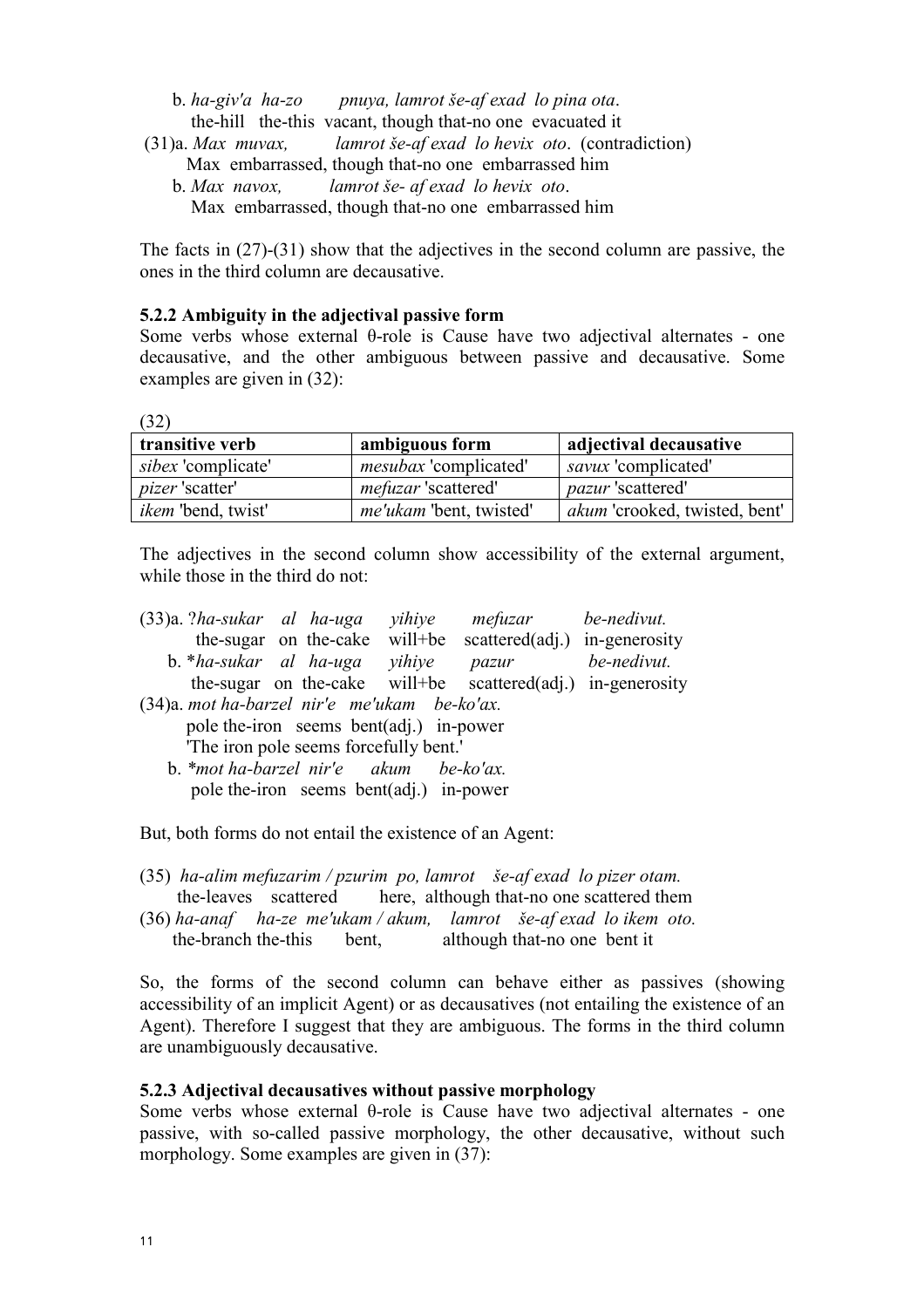| b. ha-giv'a ha-zo pnuya, lamrot še-af exad lo pina ota.           |
|-------------------------------------------------------------------|
| the-hill the-this vacant, though that-no one evacuated it         |
| (31)a. Max muvax, lamrot še-af exad lo hevix oto. (contradiction) |
| Max embarrassed, though that-no one embarrassed him               |
| b. Max navox, lamrot še- af exad lo hevix oto.                    |
| Max embarrassed, though that-no one embarrassed him               |

The facts in (27)-(31) show that the adjectives in the second column are passive, the ones in the third column are decausative.

### 5.2.2 Ambiguity in the adjectival passive form

Some verbs whose external θ-role is Cause have two adjectival alternates - one decausative, and the other ambiguous between passive and decausative. Some examples are given in (32):

 $(32)$ 

| transitive verb           | ambiguous form                 | adjectival decausative               |
|---------------------------|--------------------------------|--------------------------------------|
| <i>sibex</i> 'complicate' | <i>mesubax</i> 'complicated'   | <i>savux</i> 'complicated'           |
| <i>pizer</i> 'scatter'    | <i>mefuzar</i> 'scattered'     | <i>pazur</i> 'scattered'             |
| <i>ikem</i> 'bend, twist' | <i>me'ukam</i> 'bent, twisted' | <i>akum</i> 'crooked, twisted, bent' |

The adjectives in the second column show accessibility of the external argument, while those in the third do not:

| $(33)a$ . ?ha-sukar al ha-uga                | the-sugar on the-cake | yihiye<br>will+be                       | mefuzar<br>scattered(adj.) in-generosity                    | be-nedivut. |
|----------------------------------------------|-----------------------|-----------------------------------------|-------------------------------------------------------------|-------------|
|                                              |                       |                                         |                                                             |             |
| b. *ha-sukar al ha-uga                       |                       | yihiye                                  | pazur                                                       | be-nedivut. |
|                                              |                       |                                         | the-sugar on the-cake will+be scattered(adj.) in-generosity |             |
| (34)a. mot ha-barzel nir'e me'ukam be-ko'ax. |                       |                                         |                                                             |             |
| pole the-iron seems bent(adj.) in-power      |                       |                                         |                                                             |             |
| The iron pole seems forcefully bent."        |                       |                                         |                                                             |             |
| b. *mot ha-barzel nir'e akum                 |                       |                                         | be-ko'ax.                                                   |             |
|                                              |                       | pole the-iron seems bent(adj.) in-power |                                                             |             |

But, both forms do not entail the existence of an Agent:

- (35) ha-alim mefuzarim / pzurim po, lamrot še-af exad lo pizer otam. the-leaves scattered here, although that-no one scattered them
- (36) ha-anaf ha-ze me'ukam / akum, lamrot še-af exad lo ikem oto. the-branch the-this bent, although that-no one bent it

So, the forms of the second column can behave either as passives (showing accessibility of an implicit Agent) or as decausatives (not entailing the existence of an Agent). Therefore I suggest that they are ambiguous. The forms in the third column are unambiguously decausative.

#### 5.2.3 Adjectival decausatives without passive morphology

Some verbs whose external θ-role is Cause have two adjectival alternates - one passive, with so-called passive morphology, the other decausative, without such morphology. Some examples are given in (37):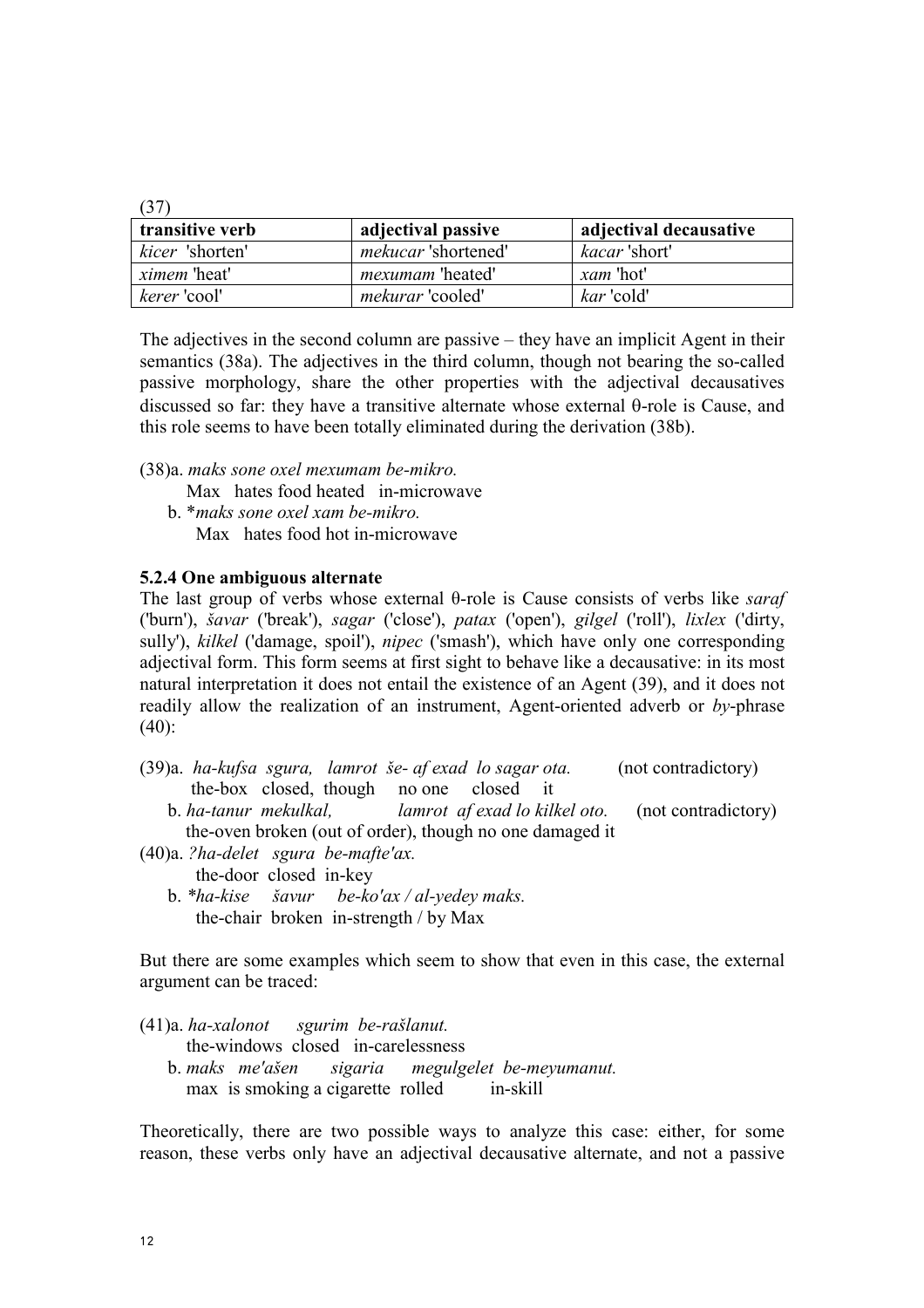| transitive verb     | adjectival passive         | adjectival decausative |
|---------------------|----------------------------|------------------------|
| kicer 'shorten'     | <i>mekucar</i> 'shortened' | <i>kacar</i> 'short'   |
| <i>ximem</i> 'heat' | <i>mexumam</i> 'heated'    | <i>xam</i> 'hot'       |
| <i>kerer</i> 'cool' | <i>mekurar</i> 'cooled'    | kar 'cold'             |

The adjectives in the second column are passive – they have an implicit Agent in their semantics (38a). The adjectives in the third column, though not bearing the so-called passive morphology, share the other properties with the adjectival decausatives discussed so far: they have a transitive alternate whose external θ-role is Cause, and this role seems to have been totally eliminated during the derivation (38b).

- (38)a. maks sone oxel mexumam be-mikro. Max hates food heated in-microwave b. \*maks sone oxel xam be-mikro.
	- Max hates food hot in-microwave

## 5.2.4 One ambiguous alternate

The last group of verbs whose external  $\theta$ -role is Cause consists of verbs like *saraf* ('burn'), šavar ('break'), sagar ('close'), patax ('open'), gilgel ('roll'), lixlex ('dirty, sully'), kilkel ('damage, spoil'), nipec ('smash'), which have only one corresponding adjectival form. This form seems at first sight to behave like a decausative: in its most natural interpretation it does not entail the existence of an Agent (39), and it does not readily allow the realization of an instrument, Agent-oriented adverb or by-phrase  $(40)$ :

- (39)a. ha-kufsa sgura, lamrot še- af exad lo sagar ota. (not contradictory) the-box closed, though no one closed it
	- b. ha-tanur mekulkal, lamrot af exad lo kilkel oto. (not contradictory) the-oven broken (out of order), though no one damaged it
- (40)a. ?ha-delet sgura be-mafte'ax. the-door closed in-key
	- b.  $*ha-kise$  *šavur be-ko'ax* / *al-yedey maks.* the-chair broken in-strength / by Max

But there are some examples which seem to show that even in this case, the external argument can be traced:

(41)a. ha-xalonot sgurim be-rašlanut.

the-windows closed in-carelessness

 b. maks me'ašen sigaria megulgelet be-meyumanut. max is smoking a cigarette rolled in-skill

Theoretically, there are two possible ways to analyze this case: either, for some reason, these verbs only have an adjectival decausative alternate, and not a passive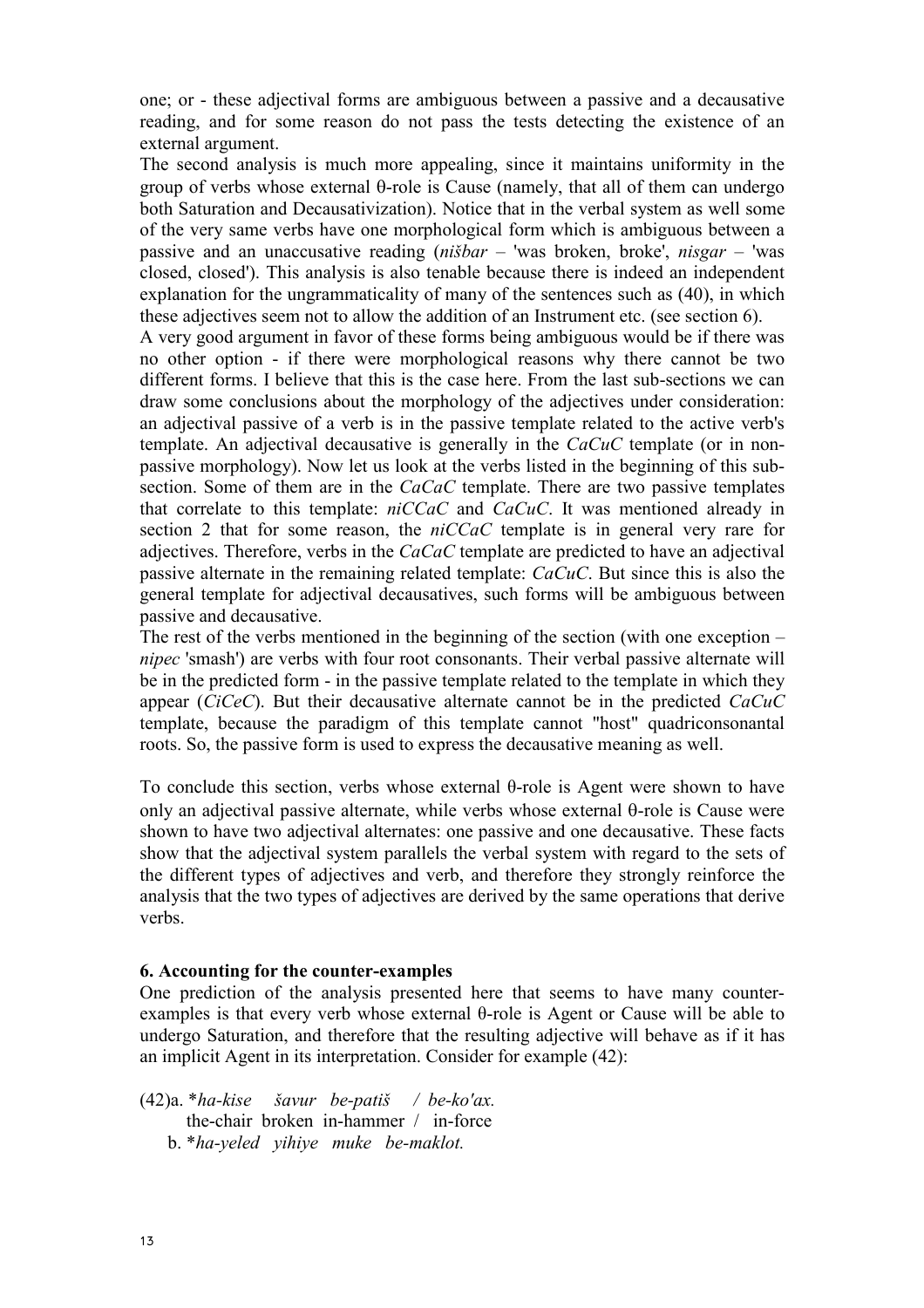one; or - these adjectival forms are ambiguous between a passive and a decausative reading, and for some reason do not pass the tests detecting the existence of an external argument.

The second analysis is much more appealing, since it maintains uniformity in the group of verbs whose external θ-role is Cause (namely, that all of them can undergo both Saturation and Decausativization). Notice that in the verbal system as well some of the very same verbs have one morphological form which is ambiguous between a passive and an unaccusative reading  $(ni\delta bar - 'was)$  broken, broke',  $nisgar - 'was$ closed, closed'). This analysis is also tenable because there is indeed an independent explanation for the ungrammaticality of many of the sentences such as (40), in which these adjectives seem not to allow the addition of an Instrument etc. (see section 6).

A very good argument in favor of these forms being ambiguous would be if there was no other option - if there were morphological reasons why there cannot be two different forms. I believe that this is the case here. From the last sub-sections we can draw some conclusions about the morphology of the adjectives under consideration: an adjectival passive of a verb is in the passive template related to the active verb's template. An adjectival decausative is generally in the  $CaCuC$  template (or in nonpassive morphology). Now let us look at the verbs listed in the beginning of this subsection. Some of them are in the CaCaC template. There are two passive templates that correlate to this template: niCCaC and CaCuC. It was mentioned already in section 2 that for some reason, the *niCCaC* template is in general very rare for adjectives. Therefore, verbs in the CaCaC template are predicted to have an adjectival passive alternate in the remaining related template: CaCuC. But since this is also the general template for adjectival decausatives, such forms will be ambiguous between passive and decausative.

The rest of the verbs mentioned in the beginning of the section (with one exception – nipec 'smash') are verbs with four root consonants. Their verbal passive alternate will be in the predicted form - in the passive template related to the template in which they appear ( $CiCeC$ ). But their decausative alternate cannot be in the predicted  $CaCuC$ template, because the paradigm of this template cannot "host" quadriconsonantal roots. So, the passive form is used to express the decausative meaning as well.

To conclude this section, verbs whose external θ-role is Agent were shown to have only an adjectival passive alternate, while verbs whose external θ-role is Cause were shown to have two adjectival alternates: one passive and one decausative. These facts show that the adjectival system parallels the verbal system with regard to the sets of the different types of adjectives and verb, and therefore they strongly reinforce the analysis that the two types of adjectives are derived by the same operations that derive verbs.

#### 6. Accounting for the counter-examples

One prediction of the analysis presented here that seems to have many counterexamples is that every verb whose external θ-role is Agent or Cause will be able to undergo Saturation, and therefore that the resulting adjective will behave as if it has an implicit Agent in its interpretation. Consider for example (42):

(42)a. \*ha-kise šavur be-patiš / be-ko'ax. the-chair broken in-hammer / in-force b. \*ha-yeled yihiye muke be-maklot.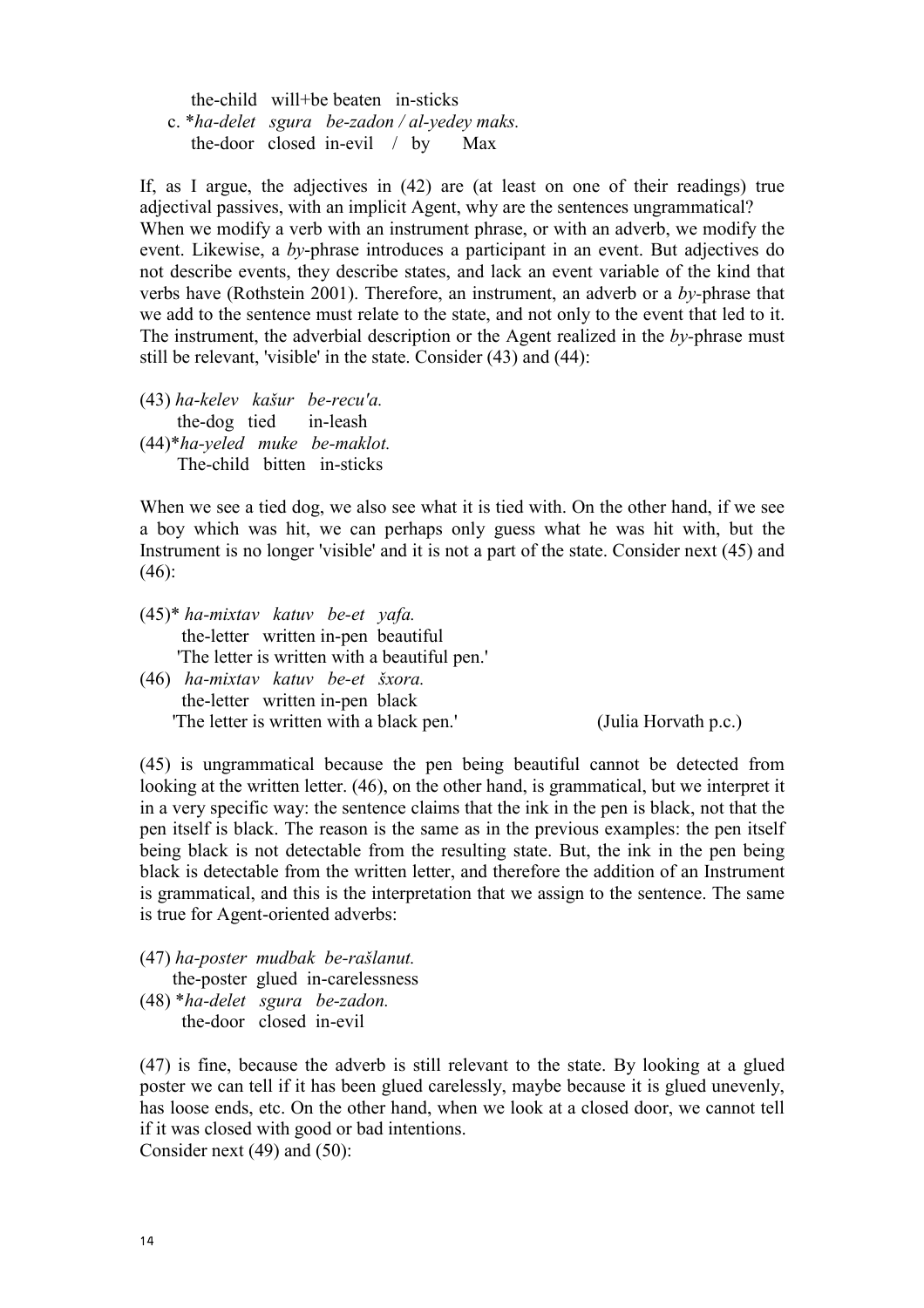the-child will+be beaten in-sticks c.  $*$ ha-delet sgura be-zadon / al-yedey maks. the-door closed in-evil / by Max

If, as I argue, the adjectives in (42) are (at least on one of their readings) true adjectival passives, with an implicit Agent, why are the sentences ungrammatical? When we modify a verb with an instrument phrase, or with an adverb, we modify the event. Likewise, a by-phrase introduces a participant in an event. But adjectives do not describe events, they describe states, and lack an event variable of the kind that verbs have (Rothstein 2001). Therefore, an instrument, an adverb or a by-phrase that we add to the sentence must relate to the state, and not only to the event that led to it. The instrument, the adverbial description or the Agent realized in the  $bv$ -phrase must still be relevant, 'visible' in the state. Consider (43) and (44):

(43) ha-kelev kašur be-recu'a. the-dog tied in-leash (44)\*ha-yeled muke be-maklot. The-child bitten in-sticks

When we see a tied dog, we also see what it is tied with. On the other hand, if we see a boy which was hit, we can perhaps only guess what he was hit with, but the Instrument is no longer 'visible' and it is not a part of the state. Consider next (45) and  $(46)$ :

- (45)\* ha-mixtav katuv be-et yafa. the-letter written in-pen beautiful 'The letter is written with a beautiful pen.'
- (46) ha-mixtav katuv be-et šxora. the-letter written in-pen black 'The letter is written with a black pen.' (Julia Horvath p.c.)

(45) is ungrammatical because the pen being beautiful cannot be detected from looking at the written letter. (46), on the other hand, is grammatical, but we interpret it in a very specific way: the sentence claims that the ink in the pen is black, not that the pen itself is black. The reason is the same as in the previous examples: the pen itself being black is not detectable from the resulting state. But, the ink in the pen being black is detectable from the written letter, and therefore the addition of an Instrument is grammatical, and this is the interpretation that we assign to the sentence. The same is true for Agent-oriented adverbs:

(47) ha-poster mudbak be-rašlanut. the-poster glued in-carelessness (48) \*ha-delet sgura be-zadon. the-door closed in-evil

(47) is fine, because the adverb is still relevant to the state. By looking at a glued poster we can tell if it has been glued carelessly, maybe because it is glued unevenly, has loose ends, etc. On the other hand, when we look at a closed door, we cannot tell if it was closed with good or bad intentions. Consider next (49) and (50):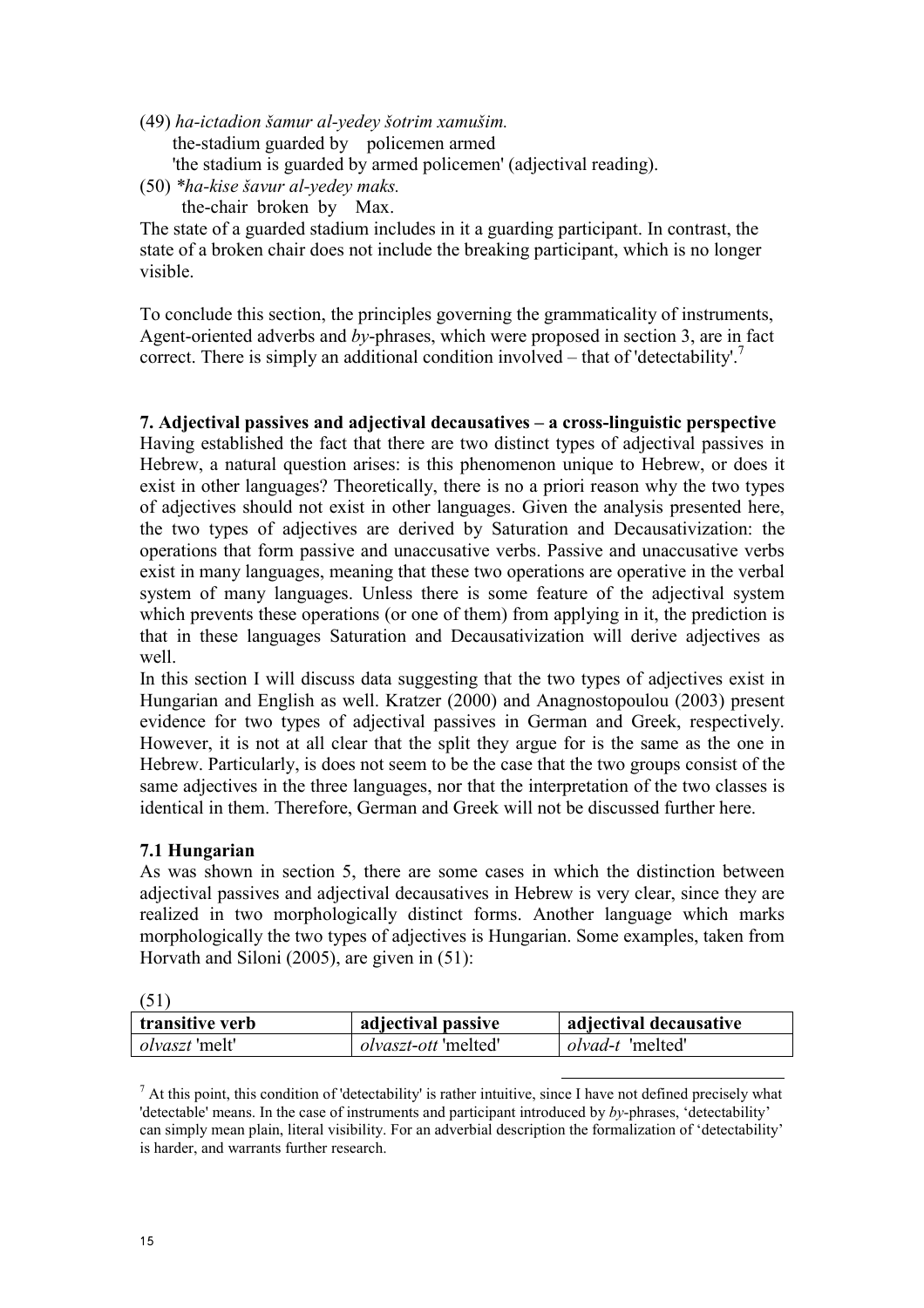- (49) ha-ictadion šamur al-yedey šotrim xamušim. the-stadium guarded by policemen armed 'the stadium is guarded by armed policemen' (adjectival reading).
- (50) \*ha-kise šavur al-yedey maks. the-chair broken by Max.

The state of a guarded stadium includes in it a guarding participant. In contrast, the state of a broken chair does not include the breaking participant, which is no longer visible.

To conclude this section, the principles governing the grammaticality of instruments, Agent-oriented adverbs and by-phrases, which were proposed in section 3, are in fact correct. There is simply an additional condition involved – that of 'detectability'.<sup>7</sup>

## 7. Adjectival passives and adjectival decausatives – a cross-linguistic perspective

Having established the fact that there are two distinct types of adjectival passives in Hebrew, a natural question arises: is this phenomenon unique to Hebrew, or does it exist in other languages? Theoretically, there is no a priori reason why the two types of adjectives should not exist in other languages. Given the analysis presented here, the two types of adjectives are derived by Saturation and Decausativization: the operations that form passive and unaccusative verbs. Passive and unaccusative verbs exist in many languages, meaning that these two operations are operative in the verbal system of many languages. Unless there is some feature of the adjectival system which prevents these operations (or one of them) from applying in it, the prediction is that in these languages Saturation and Decausativization will derive adjectives as well.

In this section I will discuss data suggesting that the two types of adjectives exist in Hungarian and English as well. Kratzer (2000) and Anagnostopoulou (2003) present evidence for two types of adjectival passives in German and Greek, respectively. However, it is not at all clear that the split they argue for is the same as the one in Hebrew. Particularly, is does not seem to be the case that the two groups consist of the same adjectives in the three languages, nor that the interpretation of the two classes is identical in them. Therefore, German and Greek will not be discussed further here.

### 7.1 Hungarian

As was shown in section 5, there are some cases in which the distinction between adjectival passives and adjectival decausatives in Hebrew is very clear, since they are realized in two morphologically distinct forms. Another language which marks morphologically the two types of adjectives is Hungarian. Some examples, taken from Horvath and Siloni (2005), are given in (51):

 $(51)$ 

| $\sqrt{2}$<br>transitive verb | adjectival passive          | adjectival decausative  |
|-------------------------------|-----------------------------|-------------------------|
| <i>olvaszt</i> 'melt'         | <i>olvaszt-ott</i> 'melted' | <i>olvad-t</i> 'melted' |

l  $^7$  At this point, this condition of 'detectability' is rather intuitive, since I have not defined precisely what 'detectable' means. In the case of instruments and participant introduced by by-phrases, 'detectability' can simply mean plain, literal visibility. For an adverbial description the formalization of 'detectability' is harder, and warrants further research.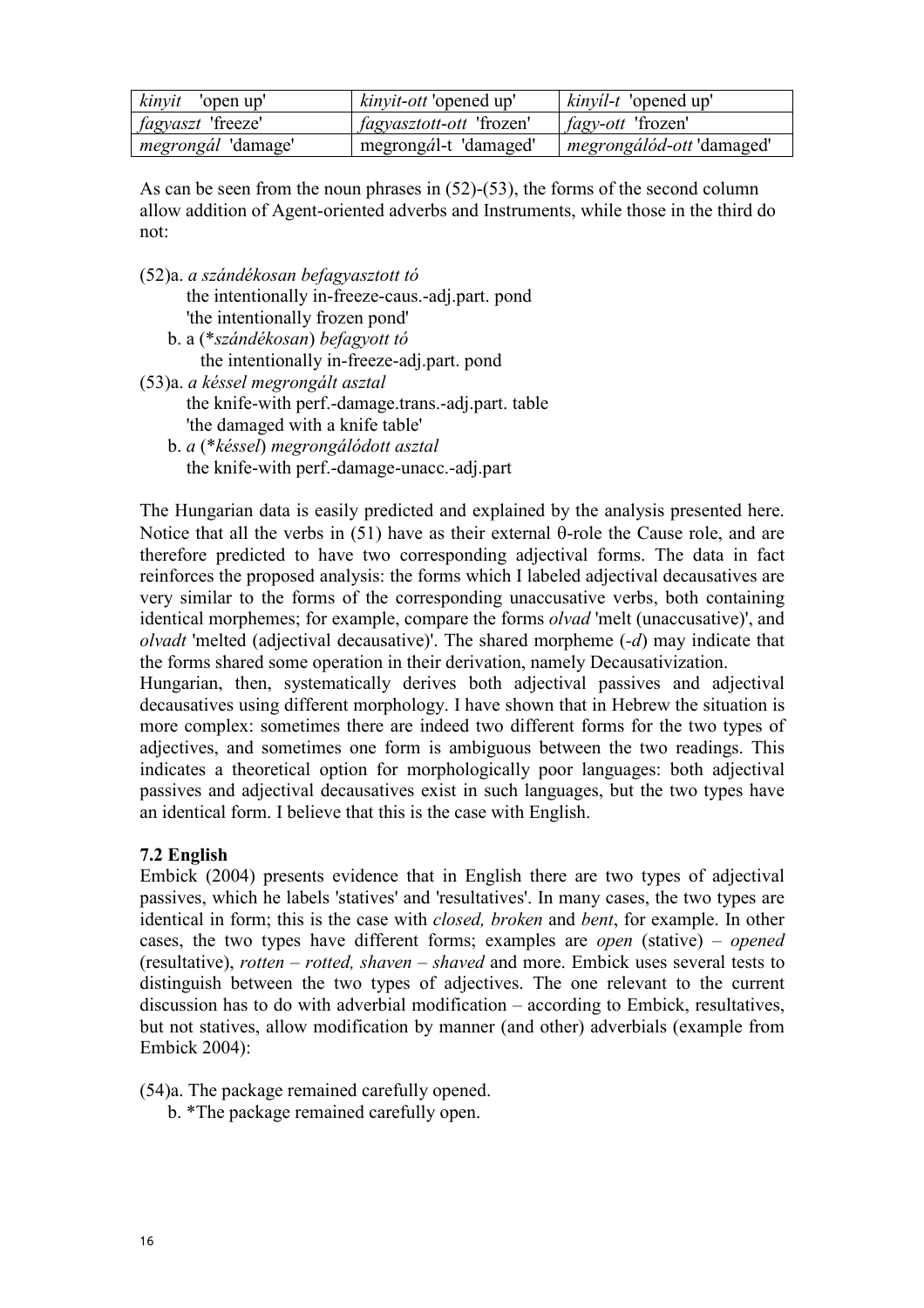| <i>kinyit</i> 'open up'   | <i>kinyit-ott</i> 'opened up'   | <i>kinyil-t</i> 'opened up'      |
|---------------------------|---------------------------------|----------------------------------|
| <i>fagyaszt</i> 'freeze'  | <i>fagyasztott-ott</i> 'frozen' | <i>fagy-ott</i> 'frozen'         |
| <i>megrongál</i> 'damage' | megrongál-t 'damaged'           | <i>megrongálód-ott</i> 'damaged' |

As can be seen from the noun phrases in  $(52)-(53)$ , the forms of the second column allow addition of Agent-oriented adverbs and Instruments, while those in the third do not:

- (52)a. a szándékosan befagyasztott tó the intentionally in-freeze-caus.-adj.part. pond 'the intentionally frozen pond'
	- b. a (\*szándékosan) befagyott tó the intentionally in-freeze-adj.part. pond
- (53)a. a késsel megrongált asztal the knife-with perf.-damage.trans.-adj.part. table 'the damaged with a knife table'
	- b. a (\*késsel) megrongálódott asztal the knife-with perf.-damage-unacc.-adj.part

The Hungarian data is easily predicted and explained by the analysis presented here. Notice that all the verbs in (51) have as their external θ-role the Cause role, and are therefore predicted to have two corresponding adjectival forms. The data in fact reinforces the proposed analysis: the forms which I labeled adjectival decausatives are very similar to the forms of the corresponding unaccusative verbs, both containing identical morphemes; for example, compare the forms olvad 'melt (unaccusative)', and olvadt 'melted (adjectival decausative)'. The shared morpheme (-d) may indicate that the forms shared some operation in their derivation, namely Decausativization. Hungarian, then, systematically derives both adjectival passives and adjectival

decausatives using different morphology. I have shown that in Hebrew the situation is more complex: sometimes there are indeed two different forms for the two types of adjectives, and sometimes one form is ambiguous between the two readings. This indicates a theoretical option for morphologically poor languages: both adjectival passives and adjectival decausatives exist in such languages, but the two types have an identical form. I believe that this is the case with English.

# 7.2 English

Embick (2004) presents evidence that in English there are two types of adjectival passives, which he labels 'statives' and 'resultatives'. In many cases, the two types are identical in form; this is the case with *closed, broken* and *bent*, for example. In other cases, the two types have different forms; examples are open (stative) – opened (resultative), rotten – rotted, shaven – shaved and more. Embick uses several tests to distinguish between the two types of adjectives. The one relevant to the current discussion has to do with adverbial modification – according to Embick, resultatives, but not statives, allow modification by manner (and other) adverbials (example from Embick 2004):

(54)a. The package remained carefully opened.

b. \*The package remained carefully open.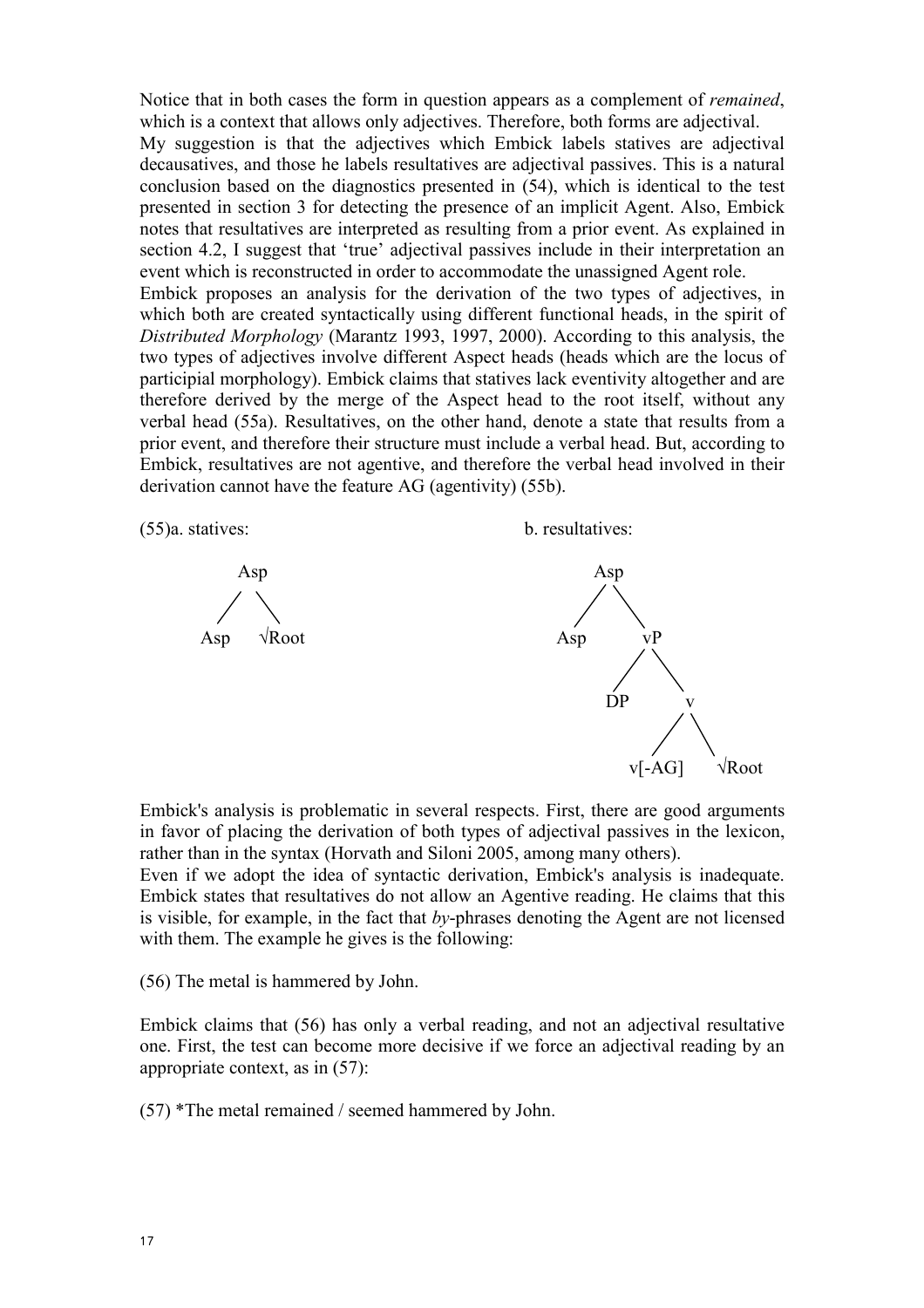Notice that in both cases the form in question appears as a complement of remained, which is a context that allows only adjectives. Therefore, both forms are adjectival. My suggestion is that the adjectives which Embick labels statives are adjectival decausatives, and those he labels resultatives are adjectival passives. This is a natural conclusion based on the diagnostics presented in (54), which is identical to the test presented in section 3 for detecting the presence of an implicit Agent. Also, Embick notes that resultatives are interpreted as resulting from a prior event. As explained in section 4.2, I suggest that 'true' adjectival passives include in their interpretation an

event which is reconstructed in order to accommodate the unassigned Agent role. Embick proposes an analysis for the derivation of the two types of adjectives, in which both are created syntactically using different functional heads, in the spirit of Distributed Morphology (Marantz 1993, 1997, 2000). According to this analysis, the two types of adjectives involve different Aspect heads (heads which are the locus of participial morphology). Embick claims that statives lack eventivity altogether and are therefore derived by the merge of the Aspect head to the root itself, without any verbal head (55a). Resultatives, on the other hand, denote a state that results from a prior event, and therefore their structure must include a verbal head. But, according to Embick, resultatives are not agentive, and therefore the verbal head involved in their derivation cannot have the feature AG (agentivity) (55b).



Embick's analysis is problematic in several respects. First, there are good arguments in favor of placing the derivation of both types of adjectival passives in the lexicon, rather than in the syntax (Horvath and Siloni 2005, among many others).

Even if we adopt the idea of syntactic derivation, Embick's analysis is inadequate. Embick states that resultatives do not allow an Agentive reading. He claims that this is visible, for example, in the fact that  $by$ -phrases denoting the Agent are not licensed with them. The example he gives is the following:

(56) The metal is hammered by John.

Embick claims that (56) has only a verbal reading, and not an adjectival resultative one. First, the test can become more decisive if we force an adjectival reading by an appropriate context, as in (57):

(57) \*The metal remained / seemed hammered by John.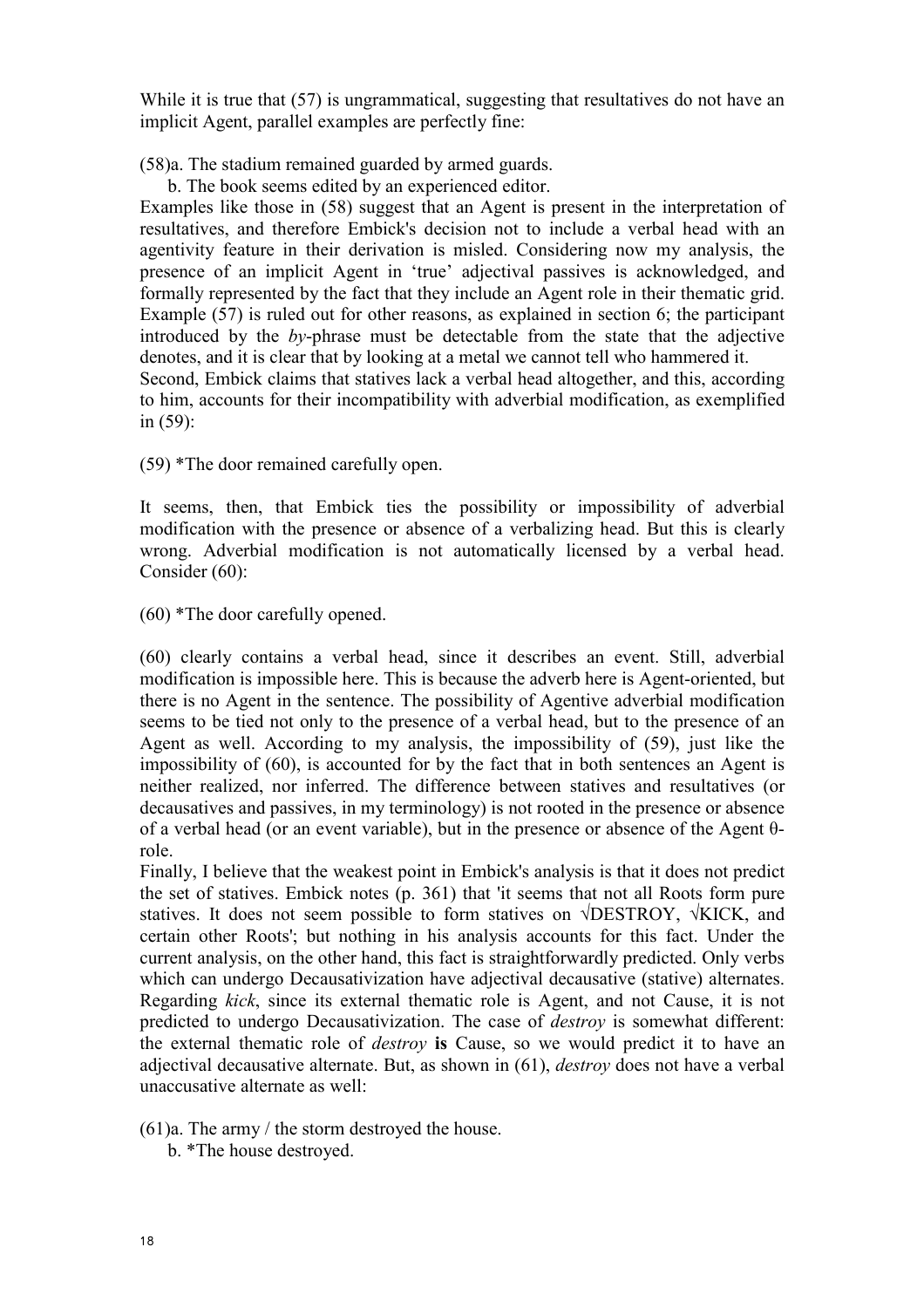While it is true that (57) is ungrammatical, suggesting that resultatives do not have an implicit Agent, parallel examples are perfectly fine:

(58)a. The stadium remained guarded by armed guards.

b. The book seems edited by an experienced editor.

Examples like those in (58) suggest that an Agent is present in the interpretation of resultatives, and therefore Embick's decision not to include a verbal head with an agentivity feature in their derivation is misled. Considering now my analysis, the presence of an implicit Agent in 'true' adjectival passives is acknowledged, and formally represented by the fact that they include an Agent role in their thematic grid. Example (57) is ruled out for other reasons, as explained in section 6; the participant introduced by the  $bv$ -phrase must be detectable from the state that the adjective denotes, and it is clear that by looking at a metal we cannot tell who hammered it. Second, Embick claims that statives lack a verbal head altogether, and this, according to him, accounts for their incompatibility with adverbial modification, as exemplified in (59):

(59) \*The door remained carefully open.

It seems, then, that Embick ties the possibility or impossibility of adverbial modification with the presence or absence of a verbalizing head. But this is clearly wrong. Adverbial modification is not automatically licensed by a verbal head. Consider (60):

(60) \*The door carefully opened.

(60) clearly contains a verbal head, since it describes an event. Still, adverbial modification is impossible here. This is because the adverb here is Agent-oriented, but there is no Agent in the sentence. The possibility of Agentive adverbial modification seems to be tied not only to the presence of a verbal head, but to the presence of an Agent as well. According to my analysis, the impossibility of (59), just like the impossibility of (60), is accounted for by the fact that in both sentences an Agent is neither realized, nor inferred. The difference between statives and resultatives (or decausatives and passives, in my terminology) is not rooted in the presence or absence of a verbal head (or an event variable), but in the presence or absence of the Agent θrole.

Finally, I believe that the weakest point in Embick's analysis is that it does not predict the set of statives. Embick notes (p. 361) that 'it seems that not all Roots form pure statives. It does not seem possible to form statives on √DESTROY, √KICK, and certain other Roots'; but nothing in his analysis accounts for this fact. Under the current analysis, on the other hand, this fact is straightforwardly predicted. Only verbs which can undergo Decausativization have adjectival decausative (stative) alternates. Regarding kick, since its external thematic role is Agent, and not Cause, it is not predicted to undergo Decausativization. The case of destroy is somewhat different: the external thematic role of destroy is Cause, so we would predict it to have an adjectival decausative alternate. But, as shown in (61), destroy does not have a verbal unaccusative alternate as well:

(61)a. The army / the storm destroyed the house.

b. \*The house destroyed.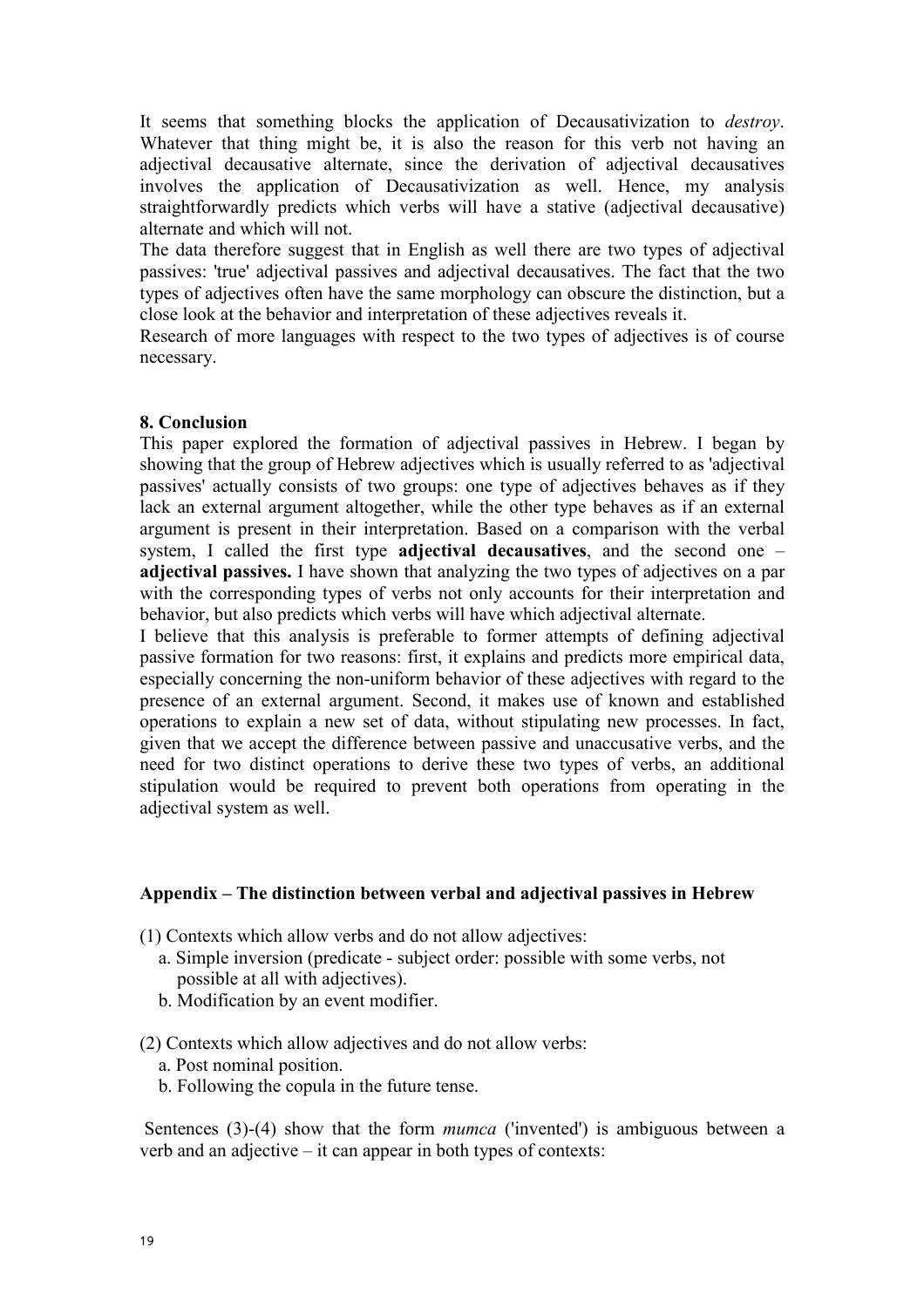It seems that something blocks the application of Decausativization to destroy. Whatever that thing might be, it is also the reason for this verb not having an adjectival decausative alternate, since the derivation of adjectival decausatives involves the application of Decausativization as well. Hence, my analysis straightforwardly predicts which verbs will have a stative (adjectival decausative) alternate and which will not.

The data therefore suggest that in English as well there are two types of adjectival passives: 'true' adjectival passives and adjectival decausatives. The fact that the two types of adjectives often have the same morphology can obscure the distinction, but a close look at the behavior and interpretation of these adjectives reveals it.

Research of more languages with respect to the two types of adjectives is of course necessary.

#### 8. Conclusion

This paper explored the formation of adjectival passives in Hebrew. I began by showing that the group of Hebrew adjectives which is usually referred to as 'adjectival passives' actually consists of two groups: one type of adjectives behaves as if they lack an external argument altogether, while the other type behaves as if an external argument is present in their interpretation. Based on a comparison with the verbal system, I called the first type adjectival decausatives, and the second one – adjectival passives. I have shown that analyzing the two types of adjectives on a par with the corresponding types of verbs not only accounts for their interpretation and behavior, but also predicts which verbs will have which adjectival alternate.

I believe that this analysis is preferable to former attempts of defining adjectival passive formation for two reasons: first, it explains and predicts more empirical data, especially concerning the non-uniform behavior of these adjectives with regard to the presence of an external argument. Second, it makes use of known and established operations to explain a new set of data, without stipulating new processes. In fact, given that we accept the difference between passive and unaccusative verbs, and the need for two distinct operations to derive these two types of verbs, an additional stipulation would be required to prevent both operations from operating in the adjectival system as well.

#### Appendix – The distinction between verbal and adjectival passives in Hebrew

(1) Contexts which allow verbs and do not allow adjectives:

- a. Simple inversion (predicate subject order: possible with some verbs, not possible at all with adjectives).
- b. Modification by an event modifier.

(2) Contexts which allow adjectives and do not allow verbs:

- a. Post nominal position.
- b. Following the copula in the future tense.

Sentences (3)-(4) show that the form *mumca* ('invented') is ambiguous between a verb and an adjective – it can appear in both types of contexts: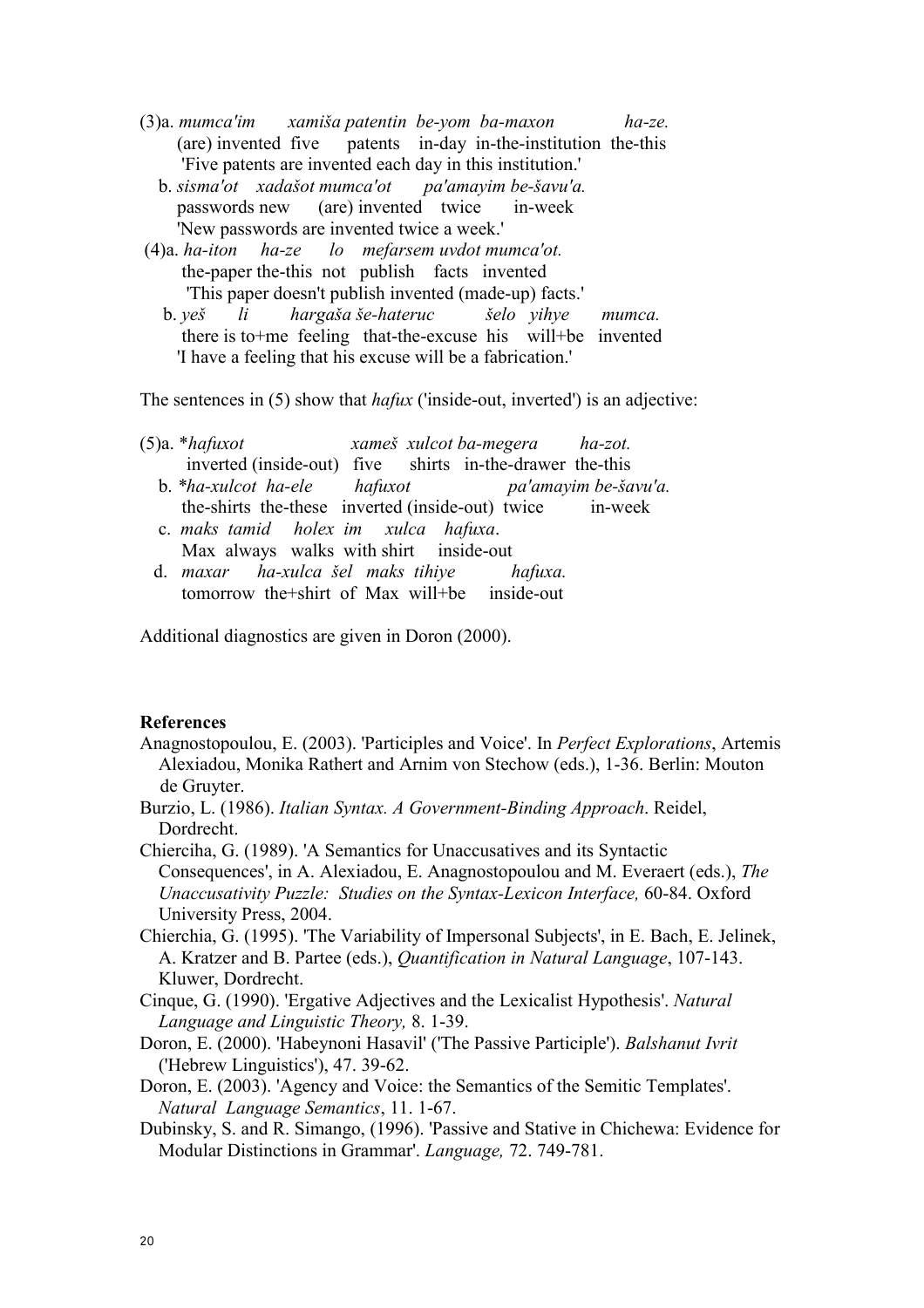- (3)a. mumca'im xamiša patentin be-yom ba-maxon ha-ze. (are) invented five patents in-day in-the-institution the-this 'Five patents are invented each day in this institution.'
	- $b.$  sisma'ot xadašot mumca'ot pa'amayim be-šavu'a. passwords new (are) invented twice in-week 'New passwords are invented twice a week.'
- (4)a. ha-iton ha-ze lo mefarsem uvdot mumca'ot. the-paper the-this not publish facts invented 'This paper doesn't publish invented (made-up) facts.'
	- b. yeš li hargaša še-hateruc šelo yihye mumca. there is to+me feeling that-the-excuse his will+be invented 'I have a feeling that his excuse will be a fabrication.'

The sentences in (5) show that *hafux* ('inside-out, inverted') is an adjective:

- $(5)a. *hafuxot$  xames xulcot ba-megera ha-zot. inverted (inside-out) five shirts in-the-drawer the-this
	- b.  $*ha$ -xulcot ha-ele hafuxot pa'amayim be-šavu'a. the-shirts the-these inverted (inside-out) twice in-week
	- c. maks tamid holex im xulca hafuxa. Max always walks with shirt inside-out
	- d. maxar ha-xulca šel maks tihiye hafuxa. tomorrow the+shirt of Max will+be inside-out

Additional diagnostics are given in Doron (2000).

### **References**

- Anagnostopoulou, E. (2003). 'Participles and Voice'. In Perfect Explorations, Artemis Alexiadou, Monika Rathert and Arnim von Stechow (eds.), 1-36. Berlin: Mouton de Gruyter.
- Burzio, L. (1986). Italian Syntax. A Government-Binding Approach. Reidel, **Dordrecht**

Chierciha, G. (1989). 'A Semantics for Unaccusatives and its Syntactic Consequences', in A. Alexiadou, E. Anagnostopoulou and M. Everaert (eds.), The Unaccusativity Puzzle: Studies on the Syntax-Lexicon Interface, 60-84. Oxford University Press, 2004.

- Chierchia, G. (1995). 'The Variability of Impersonal Subjects', in E. Bach, E. Jelinek, A. Kratzer and B. Partee (eds.), Quantification in Natural Language, 107-143. Kluwer, Dordrecht.
- Cinque, G. (1990). 'Ergative Adjectives and the Lexicalist Hypothesis'. Natural Language and Linguistic Theory, 8. 1-39.
- Doron, E. (2000). 'Habeynoni Hasavil' ('The Passive Participle'). Balshanut Ivrit ('Hebrew Linguistics'), 47. 39-62.
- Doron, E. (2003). 'Agency and Voice: the Semantics of the Semitic Templates'. Natural Language Semantics, 11. 1-67.
- Dubinsky, S. and R. Simango, (1996). 'Passive and Stative in Chichewa: Evidence for Modular Distinctions in Grammar'. Language, 72. 749-781.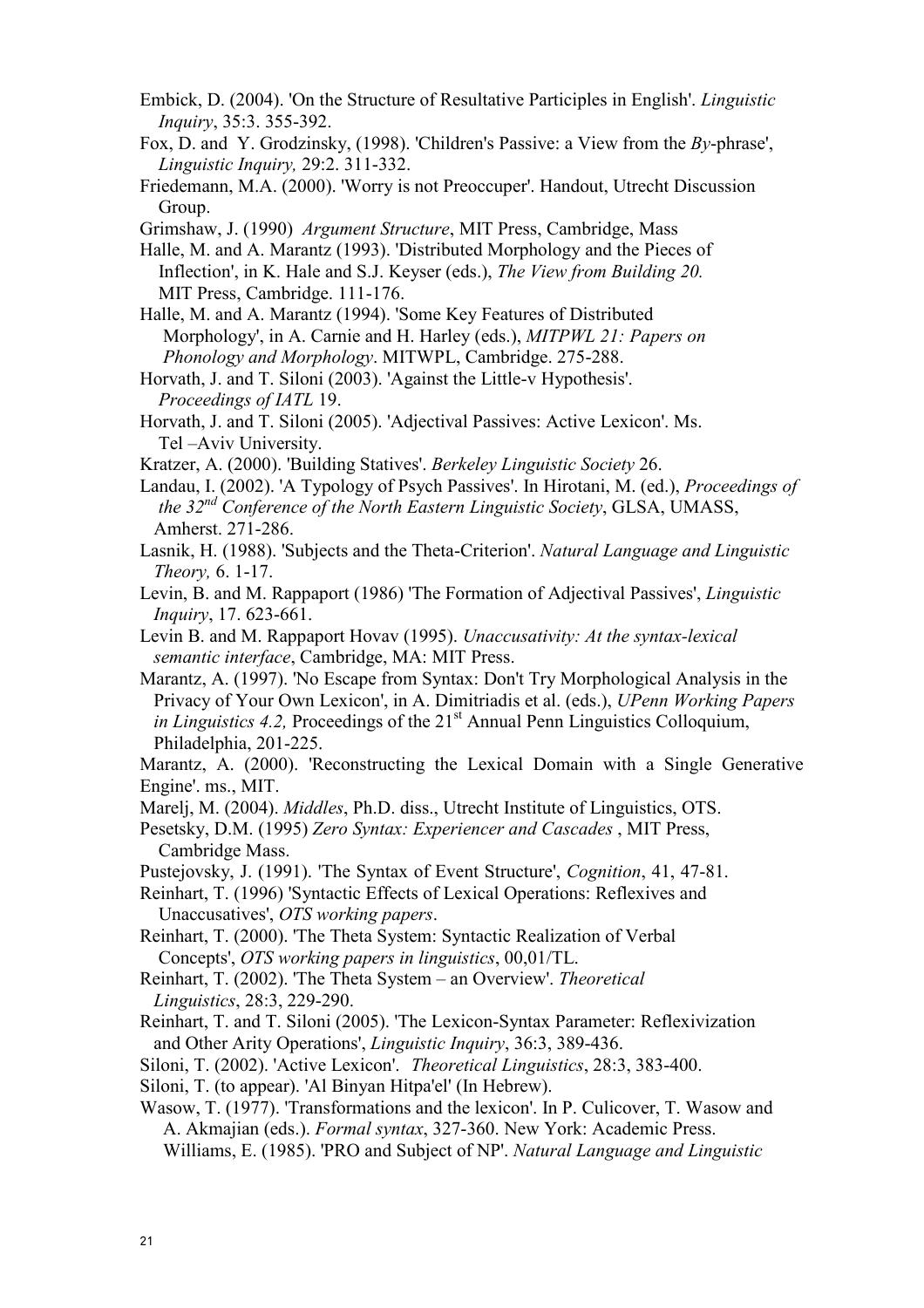- Embick, D. (2004). 'On the Structure of Resultative Participles in English'. Linguistic Inquiry, 35:3. 355-392.
- Fox, D. and Y. Grodzinsky, (1998). 'Children's Passive: a View from the By-phrase', Linguistic Inquiry, 29:2. 311-332.
- Friedemann, M.A. (2000). 'Worry is not Preoccuper'. Handout, Utrecht Discussion Group.

Grimshaw, J. (1990) Argument Structure, MIT Press, Cambridge, Mass

- Halle, M. and A. Marantz (1993). 'Distributed Morphology and the Pieces of Inflection', in K. Hale and S.J. Keyser (eds.), The View from Building 20. MIT Press, Cambridge. 111-176.
- Halle, M. and A. Marantz (1994). 'Some Key Features of Distributed Morphology', in A. Carnie and H. Harley (eds.), MITPWL 21: Papers on Phonology and Morphology. MITWPL, Cambridge. 275-288.
- Horvath, J. and T. Siloni (2003). 'Against the Little-v Hypothesis'. Proceedings of IATL 19.
- Horvath, J. and T. Siloni (2005). 'Adjectival Passives: Active Lexicon'. Ms. Tel –Aviv University.
- Kratzer, A. (2000). 'Building Statives'. Berkeley Linguistic Society 26.
- Landau, I. (2002). 'A Typology of Psych Passives'. In Hirotani, M. (ed.), Proceedings of the 32<sup>nd</sup> Conference of the North Eastern Linguistic Society, GLSA, UMASS, Amherst. 271-286.
- Lasnik, H. (1988). 'Subjects and the Theta-Criterion'. Natural Language and Linguistic Theory, 6. 1-17.
- Levin, B. and M. Rappaport (1986) 'The Formation of Adjectival Passives', Linguistic Inquiry, 17. 623-661.
- Levin B. and M. Rappaport Hovav (1995). Unaccusativity: At the syntax-lexical semantic interface, Cambridge, MA: MIT Press.
- Marantz, A. (1997). 'No Escape from Syntax: Don't Try Morphological Analysis in the Privacy of Your Own Lexicon', in A. Dimitriadis et al. (eds.), UPenn Working Papers in Linguistics 4.2, Proceedings of the  $21<sup>st</sup>$  Annual Penn Linguistics Colloquium, Philadelphia, 201-225.

Marantz, A. (2000). 'Reconstructing the Lexical Domain with a Single Generative Engine'. ms., MIT.

Marelj, M. (2004). Middles, Ph.D. diss., Utrecht Institute of Linguistics, OTS.

 Pesetsky, D.M. (1995) Zero Syntax: Experiencer and Cascades , MIT Press, Cambridge Mass.

Pustejovsky, J. (1991). 'The Syntax of Event Structure', Cognition, 41, 47-81.

Reinhart, T. (1996) 'Syntactic Effects of Lexical Operations: Reflexives and Unaccusatives', OTS working papers.

- Reinhart, T. (2000). 'The Theta System: Syntactic Realization of Verbal Concepts', OTS working papers in linguistics, 00,01/TL.
- Reinhart, T. (2002). 'The Theta System an Overview'. Theoretical Linguistics, 28:3, 229-290.
- Reinhart, T. and T. Siloni (2005). 'The Lexicon-Syntax Parameter: Reflexivization and Other Arity Operations', Linguistic Inquiry, 36:3, 389-436.
- Siloni, T. (2002). 'Active Lexicon'. Theoretical Linguistics, 28:3, 383-400.
- Siloni, T. (to appear). 'Al Binyan Hitpa'el' (In Hebrew).
- Wasow, T. (1977). 'Transformations and the lexicon'. In P. Culicover, T. Wasow and A. Akmajian (eds.). Formal syntax, 327-360. New York: Academic Press. Williams, E. (1985). 'PRO and Subject of NP'. Natural Language and Linguistic